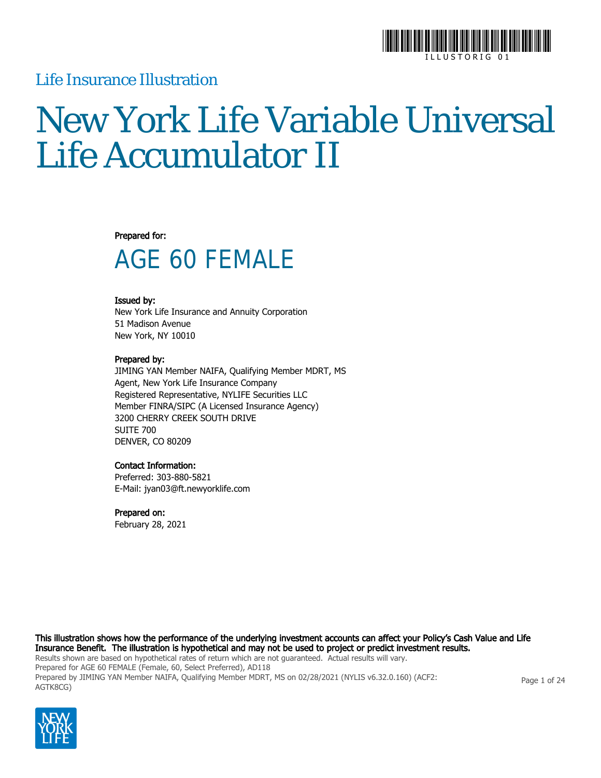

### Life Insurance Illustration

# New York Life Variable Universal Life Accumulator II

### Prepared for:

## AGE 60 FEMALE

### Issued by:

New York Life Insurance and Annuity Corporation 51 Madison Avenue New York, NY 10010

### Prepared by:

JIMING YAN Member NAIFA, Qualifying Member MDRT, MS Agent, New York Life Insurance Company Registered Representative, NYLIFE Securities LLC Member FINRA/SIPC (A Licensed Insurance Agency) 3200 CHERRY CREEK SOUTH DRIVE SUITE 700 DENVER, CO 80209

### Contact Information:

Preferred: 303-880-5821 E-Mail: jyan03@ft.newyorklife.com

### Prepared on:

February 28, 2021

This illustration shows how the performance of the underlying investment accounts can affect your Policy's Cash Value and Life Insurance Benefit. The illustration is hypothetical and may not be used to project or predict investment results. Results shown are based on hypothetical rates of return which are not guaranteed. Actual results will vary. Prepared for AGE 60 FEMALE (Female, 60, Select Preferred), AD118 Prepared by JIMING YAN Member NAIFA, Qualifying Member MDRT, MS on 02/28/2021 (NYLIS v6.32.0.160) (ACF2: AGTK8CG)



Page 1 of 24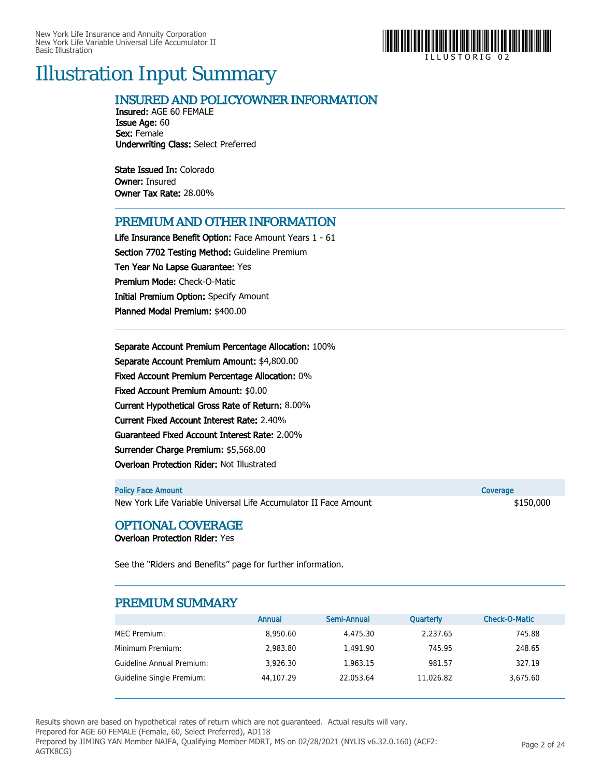

I L L U S T O R I G 0 2

## Illustration Input Summary

### INSURED AND POLICYOWNER INFORMATION

Insured: AGE 60 FEMALE Issue Age: 60 Sex: Female Underwriting Class: Select Preferred

State Issued In: Colorado Owner: Insured Owner Tax Rate: 28.00%

### PREMIUM AND OTHER INFORMATION

Life Insurance Benefit Option: Face Amount Years 1 - 61 Section 7702 Testing Method: Guideline Premium Ten Year No Lapse Guarantee: Yes Premium Mode: Check-O-Matic Initial Premium Option: Specify Amount Planned Modal Premium: \$400.00

Separate Account Premium Percentage Allocation: 100% Separate Account Premium Amount: \$4,800.00 Fixed Account Premium Percentage Allocation: 0% Fixed Account Premium Amount: \$0.00 Current Hypothetical Gross Rate of Return: 8.00% Current Fixed Account Interest Rate: 2.40% Guaranteed Fixed Account Interest Rate: 2.00% Surrender Charge Premium: \$5,568.00 Overloan Protection Rider: Not Illustrated

| <b>Policy Face Amount</b>                                        | Coverage  |
|------------------------------------------------------------------|-----------|
| New York Life Variable Universal Life Accumulator II Face Amount | \$150,000 |

### OPTIONAL COVERAGE

Overloan Protection Rider: Yes

See the "Riders and Benefits" page for further information.

### PREMIUM SUMMARY

|                           | Annual    | Semi-Annual | <b>Quarterly</b> | Check-O-Matic |
|---------------------------|-----------|-------------|------------------|---------------|
| MEC Premium:              | 8,950.60  | 4,475.30    | 2,237.65         | 745.88        |
| Minimum Premium:          | 2.983.80  | 1.491.90    | 745.95           | 248.65        |
| Guideline Annual Premium: | 3.926.30  | 1.963.15    | 981.57           | 327.19        |
| Guideline Single Premium: | 44.107.29 | 22.053.64   | 11.026.82        | 3.675.60      |

Results shown are based on hypothetical rates of return which are not guaranteed. Actual results will vary.

Prepared for AGE 60 FEMALE (Female, 60, Select Preferred), AD118

Prepared by JIMING YAN Member NAIFA, Qualifying Member MDRT, MS on 02/28/2021 (NYLIS v6.32.0.160) (ACF2: AGTK8CG)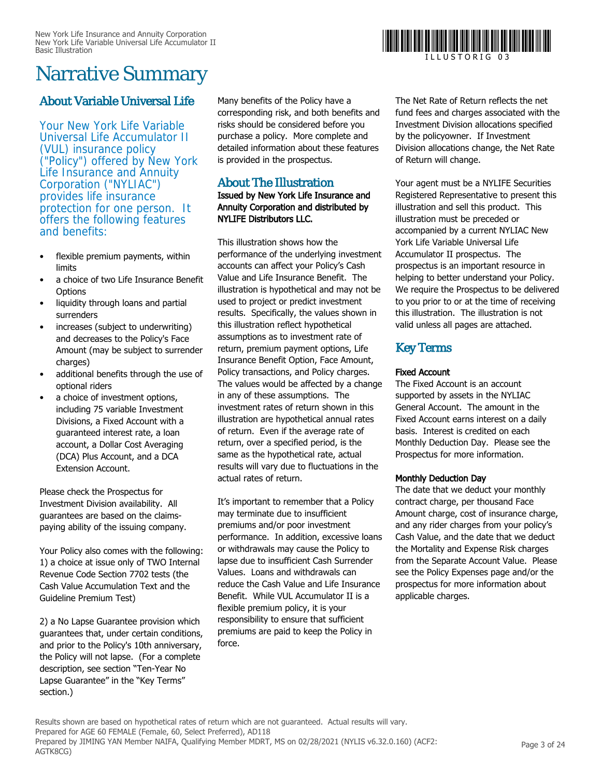## Narrative Summary

### About Variable Universal Life

Your New York Life Variable Universal Life Accumulator II (VUL) insurance policy ("Policy") offered by New York Life Insurance and Annuity Corporation ("NYLIAC") provides life insurance protection for one person. It offers the following features and benefits:

- flexible premium payments, within limits
- a choice of two Life Insurance Benefit **Options**
- liquidity through loans and partial surrenders
- increases (subject to underwriting) and decreases to the Policy's Face Amount (may be subject to surrender charges)
- additional benefits through the use of optional riders
- a choice of investment options, including 75 variable Investment Divisions, a Fixed Account with a guaranteed interest rate, a loan account, a Dollar Cost Averaging (DCA) Plus Account, and a DCA Extension Account.

Please check the Prospectus for Investment Division availability. All guarantees are based on the claimspaying ability of the issuing company.

Your Policy also comes with the following: 1) a choice at issue only of TWO Internal Revenue Code Section 7702 tests (the Cash Value Accumulation Text and the Guideline Premium Test)

2) a No Lapse Guarantee provision which guarantees that, under certain conditions, and prior to the Policy's 10th anniversary, the Policy will not lapse. (For a complete description, see section "Ten-Year No Lapse Guarantee" in the "Key Terms" section.)

Many benefits of the Policy have a corresponding risk, and both benefits and risks should be considered before you purchase a policy. More complete and detailed information about these features is provided in the prospectus.

### About The Illustration

### Issued by New York Life Insurance and Annuity Corporation and distributed by NYLIFE Distributors LLC.

This illustration shows how the performance of the underlying investment accounts can affect your Policy's Cash Value and Life Insurance Benefit. The illustration is hypothetical and may not be used to project or predict investment results. Specifically, the values shown in this illustration reflect hypothetical assumptions as to investment rate of return, premium payment options, Life Insurance Benefit Option, Face Amount, Policy transactions, and Policy charges. The values would be affected by a change in any of these assumptions. The investment rates of return shown in this illustration are hypothetical annual rates of return. Even if the average rate of return, over a specified period, is the same as the hypothetical rate, actual results will vary due to fluctuations in the actual rates of return.

It's important to remember that a Policy may terminate due to insufficient premiums and/or poor investment performance. In addition, excessive loans or withdrawals may cause the Policy to lapse due to insufficient Cash Surrender Values. Loans and withdrawals can reduce the Cash Value and Life Insurance Benefit. While VUL Accumulator II is a flexible premium policy, it is your responsibility to ensure that sufficient premiums are paid to keep the Policy in force.



The Net Rate of Return reflects the net fund fees and charges associated with the Investment Division allocations specified by the policyowner. If Investment Division allocations change, the Net Rate of Return will change.

Your agent must be a NYLIFE Securities Registered Representative to present this illustration and sell this product. This illustration must be preceded or accompanied by a current NYLIAC New York Life Variable Universal Life Accumulator II prospectus. The prospectus is an important resource in helping to better understand your Policy. We require the Prospectus to be delivered to you prior to or at the time of receiving this illustration. The illustration is not valid unless all pages are attached.

### Key Terms

### Fixed Account

The Fixed Account is an account supported by assets in the NYLIAC General Account. The amount in the Fixed Account earns interest on a daily basis. Interest is credited on each Monthly Deduction Day. Please see the Prospectus for more information.

### Monthly Deduction Day

The date that we deduct your monthly contract charge, per thousand Face Amount charge, cost of insurance charge, and any rider charges from your policy's Cash Value, and the date that we deduct the Mortality and Expense Risk charges from the Separate Account Value. Please see the Policy Expenses page and/or the prospectus for more information about applicable charges.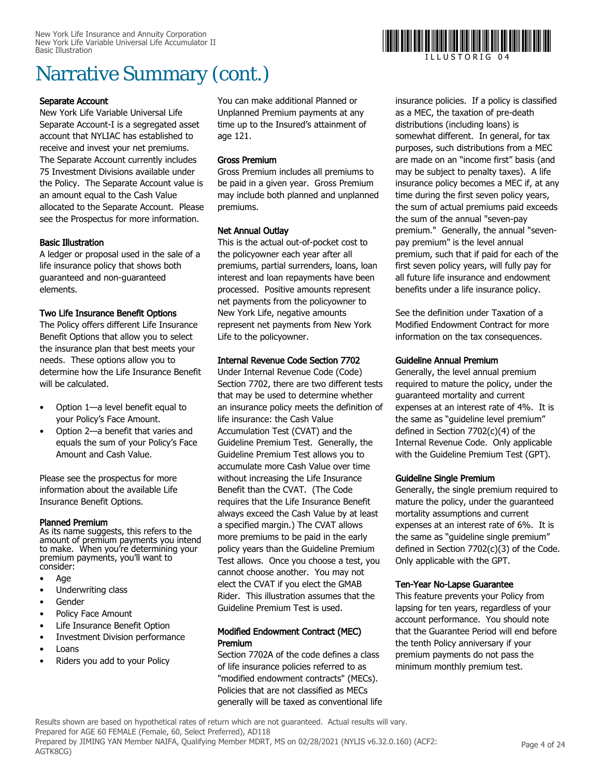### Separate Account

New York Life Variable Universal Life Separate Account-I is a segregated asset account that NYLIAC has established to receive and invest your net premiums. The Separate Account currently includes 75 Investment Divisions available under the Policy. The Separate Account value is an amount equal to the Cash Value allocated to the Separate Account. Please see the Prospectus for more information.

### Basic Illustration

A ledger or proposal used in the sale of a life insurance policy that shows both guaranteed and non-guaranteed elements.

### Two Life Insurance Benefit Options

The Policy offers different Life Insurance Benefit Options that allow you to select the insurance plan that best meets your needs. These options allow you to determine how the Life Insurance Benefit will be calculated.

- Option 1—a level benefit equal to your Policy's Face Amount.
- Option 2—a benefit that varies and equals the sum of your Policy's Face Amount and Cash Value.

Please see the prospectus for more information about the available Life Insurance Benefit Options.

### Planned Premium

As its name suggests, this refers to the amount of premium payments you intend to make. When you're determining your premium payments, you'll want to consider:

- Age
- Underwriting class
- Gender
- Policy Face Amount
- Life Insurance Benefit Option
- Investment Division performance
- Loans
- Riders you add to your Policy

You can make additional Planned or Unplanned Premium payments at any time up to the Insured's attainment of age 121.

### Gross Premium

Gross Premium includes all premiums to be paid in a given year. Gross Premium may include both planned and unplanned premiums.

### Net Annual Outlay

This is the actual out-of-pocket cost to the policyowner each year after all premiums, partial surrenders, loans, loan interest and loan repayments have been processed. Positive amounts represent net payments from the policyowner to New York Life, negative amounts represent net payments from New York Life to the policyowner.

### Internal Revenue Code Section 7702

Under Internal Revenue Code (Code) Section 7702, there are two different tests that may be used to determine whether an insurance policy meets the definition of life insurance: the Cash Value Accumulation Test (CVAT) and the Guideline Premium Test. Generally, the Guideline Premium Test allows you to accumulate more Cash Value over time without increasing the Life Insurance Benefit than the CVAT. (The Code requires that the Life Insurance Benefit always exceed the Cash Value by at least a specified margin.) The CVAT allows more premiums to be paid in the early policy years than the Guideline Premium Test allows. Once you choose a test, you cannot choose another. You may not elect the CVAT if you elect the GMAB Rider. This illustration assumes that the Guideline Premium Test is used.

### Modified Endowment Contract (MEC) Premium

Section 7702A of the code defines a class of life insurance policies referred to as "modified endowment contracts" (MECs). Policies that are not classified as MECs generally will be taxed as conventional life insurance policies. If a policy is classified as a MEC, the taxation of pre-death distributions (including loans) is somewhat different. In general, for tax purposes, such distributions from a MEC are made on an "income first" basis (and may be subject to penalty taxes). A life insurance policy becomes a MEC if, at any time during the first seven policy years, the sum of actual premiums paid exceeds the sum of the annual "seven-pay premium." Generally, the annual "sevenpay premium" is the level annual premium, such that if paid for each of the first seven policy years, will fully pay for all future life insurance and endowment benefits under a life insurance policy.

See the definition under Taxation of a Modified Endowment Contract for more information on the tax consequences.

### Guideline Annual Premium

Generally, the level annual premium required to mature the policy, under the guaranteed mortality and current expenses at an interest rate of 4%. It is the same as "guideline level premium" defined in Section 7702(c)(4) of the Internal Revenue Code. Only applicable with the Guideline Premium Test (GPT).

### Guideline Single Premium

Generally, the single premium required to mature the policy, under the guaranteed mortality assumptions and current expenses at an interest rate of 6%. It is the same as "guideline single premium" defined in Section 7702(c)(3) of the Code. Only applicable with the GPT.

### Ten-Year No-Lapse Guarantee

This feature prevents your Policy from lapsing for ten years, regardless of your account performance. You should note that the Guarantee Period will end before the tenth Policy anniversary if your premium payments do not pass the minimum monthly premium test.

Results shown are based on hypothetical rates of return which are not guaranteed. Actual results will vary. Prepared for AGE 60 FEMALE (Female, 60, Select Preferred), AD118 Prepared by JIMING YAN Member NAIFA, Qualifying Member MDRT, MS on 02/28/2021 (NYLIS v6.32.0.160) (ACF2: AGTK8CG)



I L L U S T O R I G 0 4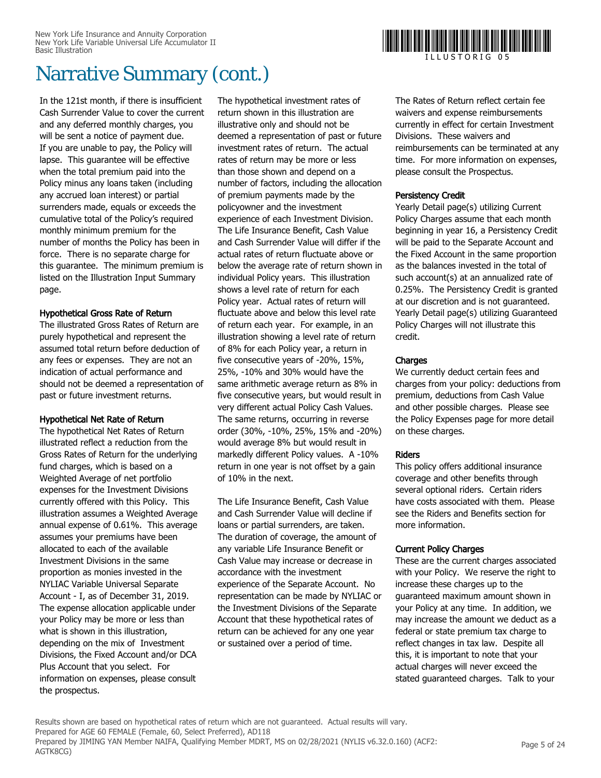In the 121st month, if there is insufficient Cash Surrender Value to cover the current and any deferred monthly charges, you will be sent a notice of payment due. If you are unable to pay, the Policy will lapse. This guarantee will be effective when the total premium paid into the Policy minus any loans taken (including any accrued loan interest) or partial surrenders made, equals or exceeds the cumulative total of the Policy's required monthly minimum premium for the number of months the Policy has been in force. There is no separate charge for this guarantee. The minimum premium is listed on the Illustration Input Summary page.

### Hypothetical Gross Rate of Return

The illustrated Gross Rates of Return are purely hypothetical and represent the assumed total return before deduction of any fees or expenses. They are not an indication of actual performance and should not be deemed a representation of past or future investment returns.

### Hypothetical Net Rate of Return

The hypothetical Net Rates of Return illustrated reflect a reduction from the Gross Rates of Return for the underlying fund charges, which is based on a Weighted Average of net portfolio expenses for the Investment Divisions currently offered with this Policy. This illustration assumes a Weighted Average annual expense of 0.61%. This average assumes your premiums have been allocated to each of the available Investment Divisions in the same proportion as monies invested in the NYLIAC Variable Universal Separate Account - I, as of December 31, 2019. The expense allocation applicable under your Policy may be more or less than what is shown in this illustration, depending on the mix of Investment Divisions, the Fixed Account and/or DCA Plus Account that you select. For information on expenses, please consult the prospectus.

The hypothetical investment rates of return shown in this illustration are illustrative only and should not be deemed a representation of past or future investment rates of return. The actual rates of return may be more or less than those shown and depend on a number of factors, including the allocation of premium payments made by the policyowner and the investment experience of each Investment Division. The Life Insurance Benefit, Cash Value and Cash Surrender Value will differ if the actual rates of return fluctuate above or below the average rate of return shown in individual Policy years. This illustration shows a level rate of return for each Policy year. Actual rates of return will fluctuate above and below this level rate of return each year. For example, in an illustration showing a level rate of return of 8% for each Policy year, a return in five consecutive years of -20%, 15%, 25%, -10% and 30% would have the same arithmetic average return as 8% in five consecutive years, but would result in very different actual Policy Cash Values. The same returns, occurring in reverse order (30%, -10%, 25%, 15% and -20%) would average 8% but would result in markedly different Policy values. A -10% return in one year is not offset by a gain of 10% in the next.

The Life Insurance Benefit, Cash Value and Cash Surrender Value will decline if loans or partial surrenders, are taken. The duration of coverage, the amount of any variable Life Insurance Benefit or Cash Value may increase or decrease in accordance with the investment experience of the Separate Account. No representation can be made by NYLIAC or the Investment Divisions of the Separate Account that these hypothetical rates of return can be achieved for any one year or sustained over a period of time.

The Rates of Return reflect certain fee waivers and expense reimbursements currently in effect for certain Investment Divisions. These waivers and reimbursements can be terminated at any time. For more information on expenses, please consult the Prospectus.

### Persistency Credit

Yearly Detail page(s) utilizing Current Policy Charges assume that each month beginning in year 16, a Persistency Credit will be paid to the Separate Account and the Fixed Account in the same proportion as the balances invested in the total of such account(s) at an annualized rate of 0.25%. The Persistency Credit is granted at our discretion and is not guaranteed. Yearly Detail page(s) utilizing Guaranteed Policy Charges will not illustrate this credit.

### **Charges**

We currently deduct certain fees and charges from your policy: deductions from premium, deductions from Cash Value and other possible charges. Please see the Policy Expenses page for more detail on these charges.

### Riders

This policy offers additional insurance coverage and other benefits through several optional riders. Certain riders have costs associated with them. Please see the Riders and Benefits section for more information.

### Current Policy Charges

These are the current charges associated with your Policy. We reserve the right to increase these charges up to the guaranteed maximum amount shown in your Policy at any time. In addition, we may increase the amount we deduct as a federal or state premium tax charge to reflect changes in tax law. Despite all this, it is important to note that your actual charges will never exceed the stated guaranteed charges. Talk to your

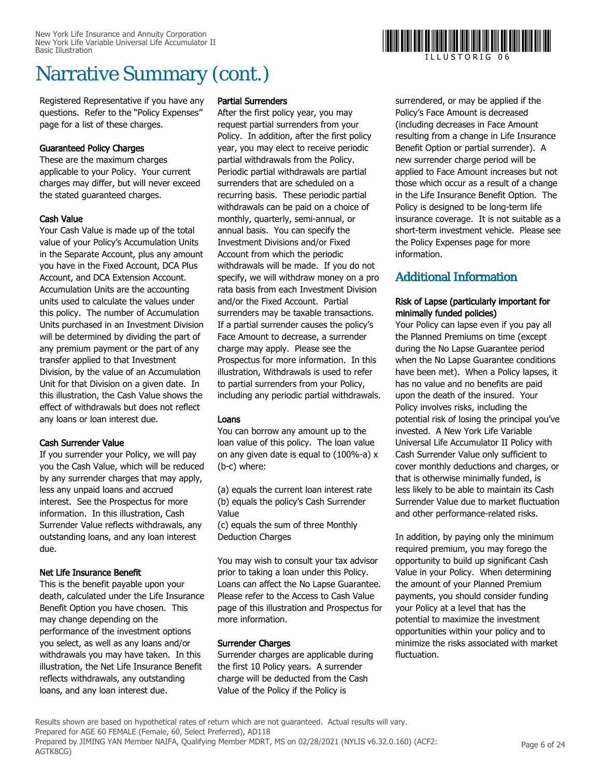Registered Representative if you have any questions. Refer to the "Policy Expenses" page for a list of these charges.

### Guaranteed Policy Charges

These are the maximum charges applicable to your Policy. Your current charges may differ, but will never exceed the stated guaranteed charges.

### Cash Value

Your Cash Value is made up of the total value of your Policy's Accumulation Units in the Separate Account, plus any amount you have in the Fixed Account, DCA Plus Account, and DCA Extension Account. Accumulation Units are the accounting units used to calculate the values under this policy. The number of Accumulation Units purchased in an Investment Division will be determined by dividing the part of any premium payment or the part of any transfer applied to that Investment Division, by the value of an Accumulation Unit for that Division on a given date. In this illustration, the Cash Value shows the effect of withdrawals but does not reflect any loans or loan interest due.

### Cash Surrender Value

If you surrender your Policy, we will pay you the Cash Value, which will be reduced by any surrender charges that may apply, less any unpaid loans and accrued interest. See the Prospectus for more information. In this illustration, Cash Surrender Value reflects withdrawals, any outstanding loans, and any loan interest due.

### Net Life Insurance Benefit

This is the benefit payable upon your death, calculated under the Life Insurance Benefit Option you have chosen. This may change depending on the performance of the investment options you select, as well as any loans and/or withdrawals you may have taken. In this illustration, the Net Life Insurance Benefit reflects withdrawals, any outstanding loans, and any loan interest due.

### Partial Surrenders

After the first policy year, you may request partial surrenders from your Policy. In addition, after the first policy year, you may elect to receive periodic partial withdrawals from the Policy. Periodic partial withdrawals are partial surrenders that are scheduled on a recurring basis. These periodic partial withdrawals can be paid on a choice of monthly, quarterly, semi-annual, or annual basis. You can specify the Investment Divisions and/or Fixed Account from which the periodic withdrawals will be made. If you do not specify, we will withdraw money on a pro rata basis from each Investment Division and/or the Fixed Account. Partial surrenders may be taxable transactions. If a partial surrender causes the policy's Face Amount to decrease, a surrender charge may apply. Please see the Prospectus for more information. In this illustration, Withdrawals is used to refer to partial surrenders from your Policy, including any periodic partial withdrawals.

### Loans

You can borrow any amount up to the loan value of this policy. The loan value on any given date is equal to (100%-a) x (b-c) where:

(a) equals the current loan interest rate (b) equals the policy's Cash Surrender Value

(c) equals the sum of three Monthly Deduction Charges

You may wish to consult your tax advisor prior to taking a loan under this Policy. Loans can affect the No Lapse Guarantee. Please refer to the Access to Cash Value page of this illustration and Prospectus for more information.

### Surrender Charges

Surrender charges are applicable during the first 10 Policy years. A surrender charge will be deducted from the Cash Value of the Policy if the Policy is

surrendered, or may be applied if the Policy's Face Amount is decreased (including decreases in Face Amount resulting from a change in Life Insurance Benefit Option or partial surrender). A new surrender charge period will be applied to Face Amount increases but not those which occur as a result of a change in the Life Insurance Benefit Option. The Policy is designed to be long-term life insurance coverage. It is not suitable as a short-term investment vehicle. Please see the Policy Expenses page for more information.

### Additional Information

### Risk of Lapse (particularly important for minimally funded policies)

Your Policy can lapse even if you pay all the Planned Premiums on time (except during the No Lapse Guarantee period when the No Lapse Guarantee conditions have been met). When a Policy lapses, it has no value and no benefits are paid upon the death of the insured. Your Policy involves risks, including the potential risk of losing the principal you've invested. A New York Life Variable Universal Life Accumulator II Policy with Cash Surrender Value only sufficient to cover monthly deductions and charges, or that is otherwise minimally funded, is less likely to be able to maintain its Cash Surrender Value due to market fluctuation and other performance-related risks.

In addition, by paying only the minimum required premium, you may forego the opportunity to build up significant Cash Value in your Policy. When determining the amount of your Planned Premium payments, you should consider funding your Policy at a level that has the potential to maximize the investment opportunities within your policy and to minimize the risks associated with market fluctuation.

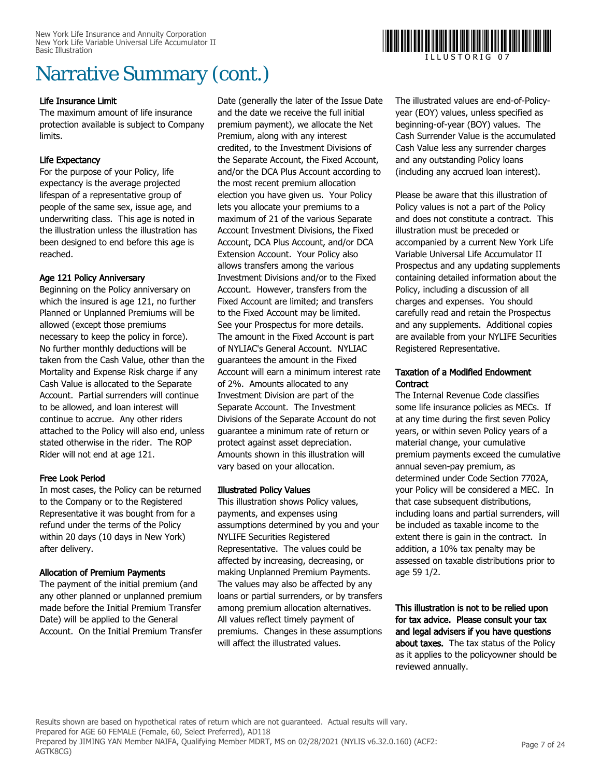### Life Insurance Limit

The maximum amount of life insurance protection available is subject to Company limits.

### Life Expectancy

For the purpose of your Policy, life expectancy is the average projected lifespan of a representative group of people of the same sex, issue age, and underwriting class. This age is noted in the illustration unless the illustration has been designed to end before this age is reached.

### Age 121 Policy Anniversary

Beginning on the Policy anniversary on which the insured is age 121, no further Planned or Unplanned Premiums will be allowed (except those premiums necessary to keep the policy in force). No further monthly deductions will be taken from the Cash Value, other than the Mortality and Expense Risk charge if any Cash Value is allocated to the Separate Account. Partial surrenders will continue to be allowed, and loan interest will continue to accrue. Any other riders attached to the Policy will also end, unless stated otherwise in the rider. The ROP Rider will not end at age 121.

### Free Look Period

In most cases, the Policy can be returned to the Company or to the Registered Representative it was bought from for a refund under the terms of the Policy within 20 days (10 days in New York) after delivery.

### Allocation of Premium Payments

The payment of the initial premium (and any other planned or unplanned premium made before the Initial Premium Transfer Date) will be applied to the General Account. On the Initial Premium Transfer

Date (generally the later of the Issue Date and the date we receive the full initial premium payment), we allocate the Net Premium, along with any interest credited, to the Investment Divisions of the Separate Account, the Fixed Account, and/or the DCA Plus Account according to the most recent premium allocation election you have given us. Your Policy lets you allocate your premiums to a maximum of 21 of the various Separate Account Investment Divisions, the Fixed Account, DCA Plus Account, and/or DCA Extension Account. Your Policy also allows transfers among the various Investment Divisions and/or to the Fixed Account. However, transfers from the Fixed Account are limited; and transfers to the Fixed Account may be limited. See your Prospectus for more details. The amount in the Fixed Account is part of NYLIAC's General Account. NYLIAC guarantees the amount in the Fixed Account will earn a minimum interest rate of 2%. Amounts allocated to any Investment Division are part of the Separate Account. The Investment Divisions of the Separate Account do not guarantee a minimum rate of return or protect against asset depreciation. Amounts shown in this illustration will vary based on your allocation.

### Illustrated Policy Values

This illustration shows Policy values, payments, and expenses using assumptions determined by you and your NYLIFE Securities Registered Representative. The values could be affected by increasing, decreasing, or making Unplanned Premium Payments. The values may also be affected by any loans or partial surrenders, or by transfers among premium allocation alternatives. All values reflect timely payment of premiums. Changes in these assumptions will affect the illustrated values.

The illustrated values are end-of-Policyyear (EOY) values, unless specified as beginning-of-year (BOY) values. The Cash Surrender Value is the accumulated Cash Value less any surrender charges and any outstanding Policy loans (including any accrued loan interest).

Please be aware that this illustration of Policy values is not a part of the Policy and does not constitute a contract. This illustration must be preceded or accompanied by a current New York Life Variable Universal Life Accumulator II Prospectus and any updating supplements containing detailed information about the Policy, including a discussion of all charges and expenses. You should carefully read and retain the Prospectus and any supplements. Additional copies are available from your NYLIFE Securities Registered Representative.

### Taxation of a Modified Endowment **Contract**

The Internal Revenue Code classifies some life insurance policies as MECs. If at any time during the first seven Policy years, or within seven Policy years of a material change, your cumulative premium payments exceed the cumulative annual seven-pay premium, as determined under Code Section 7702A, your Policy will be considered a MEC. In that case subsequent distributions, including loans and partial surrenders, will be included as taxable income to the extent there is gain in the contract. In addition, a 10% tax penalty may be assessed on taxable distributions prior to age 59 1/2.

This illustration is not to be relied upon for tax advice. Please consult your tax and legal advisers if you have questions about taxes. The tax status of the Policy as it applies to the policyowner should be reviewed annually.

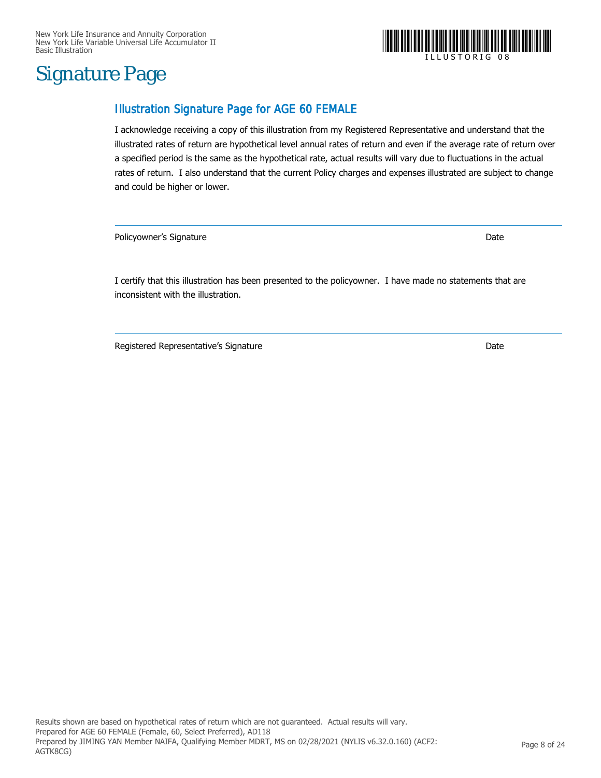## Signature Page

### Illustration Signature Page for AGE 60 FEMALE

I acknowledge receiving a copy of this illustration from my Registered Representative and understand that the illustrated rates of return are hypothetical level annual rates of return and even if the average rate of return over a specified period is the same as the hypothetical rate, actual results will vary due to fluctuations in the actual rates of return. I also understand that the current Policy charges and expenses illustrated are subject to change and could be higher or lower.

Policyowner's Signature Date

I certify that this illustration has been presented to the policyowner. I have made no statements that are inconsistent with the illustration.

Registered Representative's Signature **Date of American Structure Controller** Date

## I L L U S T O R I G 0 8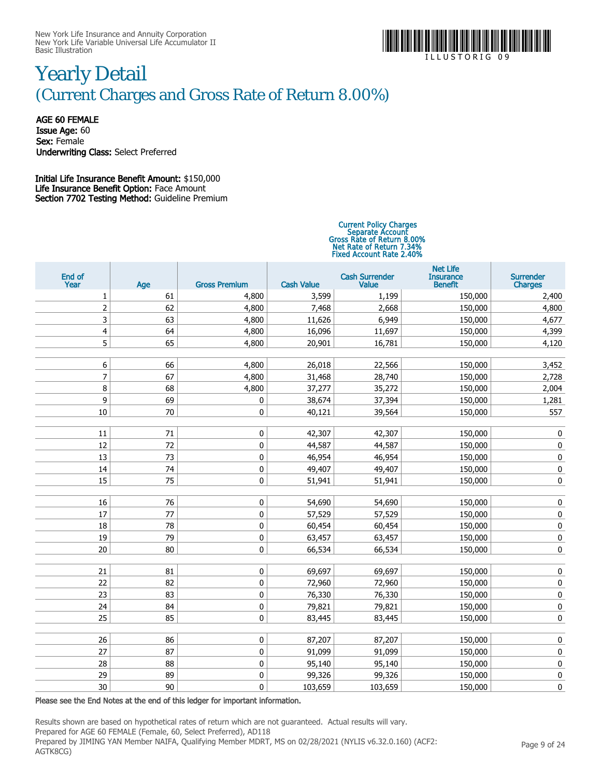

I L L U S T O R I G 0 9

## Yearly Detail (Current Charges and Gross Rate of Return 8.00%)

AGE 60 FEMALE Issue Age: 60

Sex: Female Underwriting Class: Select Preferred

### Initial Life Insurance Benefit Amount: \$150,000 Life Insurance Benefit Option: Face Amount Section 7702 Testing Method: Guideline Premium

# Current Policy Charges Separate Account Gross Rate of Return 8.00% Net Rate of Return 7.34% Fixed Account Rate 2.40%

| End of<br>Year          | Age | <b>Gross Premium</b> | <b>Cash Value</b> | <b>Cash Surrender</b><br>Value | <b>Net Life</b><br><b>Insurance</b><br><b>Benefit</b> | <b>Surrender</b><br><b>Charges</b> |
|-------------------------|-----|----------------------|-------------------|--------------------------------|-------------------------------------------------------|------------------------------------|
| 1                       | 61  | 4,800                | 3,599             | 1,199                          | 150,000                                               | 2,400                              |
| $\overline{2}$          | 62  | 4,800                | 7,468             | 2,668                          | 150,000                                               | 4,800                              |
| 3                       | 63  | 4,800                | 11,626            | 6,949                          | 150,000                                               | 4,677                              |
| $\overline{\mathbf{4}}$ | 64  | 4,800                | 16,096            | 11,697                         | 150,000                                               | 4,399                              |
| 5                       | 65  | 4,800                | 20,901            | 16,781                         | 150,000                                               | 4,120                              |
|                         |     |                      |                   |                                |                                                       |                                    |
| 6                       | 66  | 4,800                | 26,018            | 22,566                         | 150,000                                               | 3,452                              |
| 7                       | 67  | 4,800                | 31,468            | 28,740                         | 150,000                                               | 2,728                              |
| 8                       | 68  | 4,800                | 37,277            | 35,272                         | 150,000                                               | 2,004                              |
| 9                       | 69  | 0                    | 38,674            | 37,394                         | 150,000                                               | 1,281                              |
| $10\,$                  | 70  | 0                    | 40,121            | 39,564                         | 150,000                                               | 557                                |
|                         |     |                      |                   |                                |                                                       |                                    |
| 11                      | 71  | 0                    | 42,307            | 42,307                         | 150,000                                               | 0                                  |
| 12                      | 72  | 0                    | 44,587            | 44,587                         | 150,000                                               | 0                                  |
| 13                      | 73  | $\pmb{0}$            | 46,954            | 46,954                         | 150,000                                               | $\pmb{0}$                          |
| 14                      | 74  | 0                    | 49,407            | 49,407                         | 150,000                                               | 0                                  |
| 15                      | 75  | 0                    | 51,941            | 51,941                         | 150,000                                               | $\pmb{0}$                          |
|                         |     |                      |                   |                                |                                                       |                                    |
| 16                      | 76  | 0                    | 54,690            | 54,690                         | 150,000                                               | $\pmb{0}$                          |
| 17                      | 77  | $\pmb{0}$            | 57,529            | 57,529                         | 150,000                                               | $\pmb{0}$                          |
| 18                      | 78  | 0                    | 60,454            | 60,454                         | 150,000                                               | $\pmb{0}$                          |
| 19                      | 79  | 0                    | 63,457            | 63,457                         | 150,000                                               | $\pmb{0}$                          |
| $20\,$                  | 80  | 0                    | 66,534            | 66,534                         | 150,000                                               | $\pmb{0}$                          |
|                         |     |                      |                   |                                |                                                       |                                    |
| 21                      | 81  | $\pmb{0}$            | 69,697            | 69,697                         | 150,000                                               | $\pmb{0}$                          |
| 22                      | 82  | 0                    | 72,960            | 72,960                         | 150,000                                               | $\pmb{0}$                          |
| 23                      | 83  | $\pmb{0}$            | 76,330            | 76,330                         | 150,000                                               | $\pmb{0}$                          |
| 24                      | 84  | $\pmb{0}$            | 79,821            | 79,821                         | 150,000                                               | $\pmb{0}$                          |
| 25                      | 85  | 0                    | 83,445            | 83,445                         | 150,000                                               | $\pmb{0}$                          |
|                         |     |                      |                   |                                |                                                       |                                    |
| 26                      | 86  | 0                    | 87,207            | 87,207                         | 150,000                                               | 0                                  |
| 27                      | 87  | 0                    | 91,099            | 91,099                         | 150,000                                               | $\pmb{0}$                          |
| 28                      | 88  | 0                    | 95,140            | 95,140                         | 150,000                                               | 0                                  |
| 29                      | 89  | $\pmb{0}$            | 99,326            | 99,326                         | 150,000                                               | 0                                  |
| 30                      | 90  | 0                    | 103,659           | 103,659                        | 150,000                                               | 0                                  |

Please see the End Notes at the end of this ledger for important information.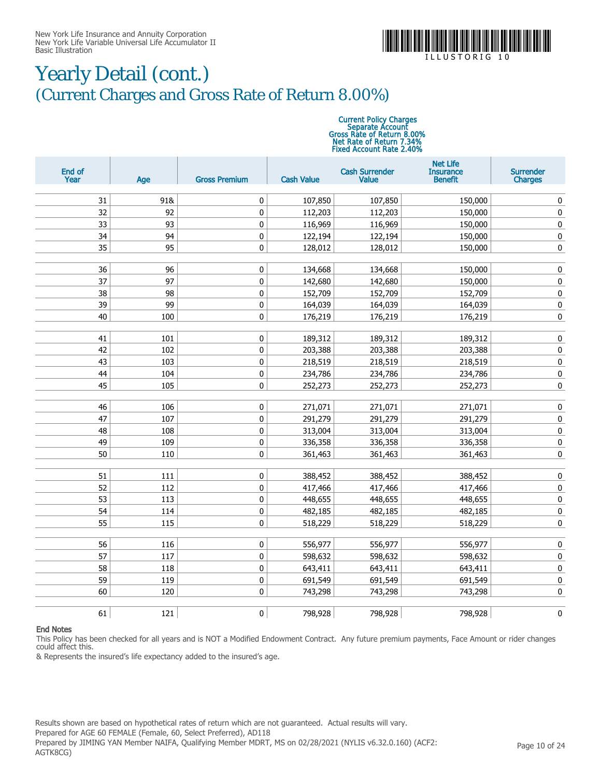

I L L U S T O R I G

## Yearly Detail (cont.) (Current Charges and Gross Rate of Return 8.00%)

# Current Policy Charges Separate Account Gross Rate of Return 8.00% Net Rate of Return 7.34% Fixed Account Rate 2.40%

| End of<br>Year | Age      | <b>Gross Premium</b> | <b>Cash Value</b>  | <b>Cash Surrender</b><br><b>Value</b> | <b>Net Life</b><br><b>Insurance</b><br><b>Benefit</b> | <b>Surrender</b><br><b>Charges</b> |
|----------------|----------|----------------------|--------------------|---------------------------------------|-------------------------------------------------------|------------------------------------|
|                |          |                      |                    |                                       |                                                       |                                    |
| 31             | 91&      | 0                    | 107,850            | 107,850                               | 150,000                                               | $\pmb{0}$                          |
| 32             | 92       | 0                    | 112,203            | 112,203                               | 150,000                                               | $\pmb{0}$                          |
| 33             | 93       | $\pmb{0}$            | 116,969            | 116,969                               | 150,000                                               | $\pmb{0}$                          |
| 34             | 94       | 0                    | 122,194            | 122,194                               | 150,000                                               | $\pmb{0}$                          |
| 35             | 95       | 0                    | 128,012            | 128,012                               | 150,000                                               | $\mathbf 0$                        |
|                |          |                      |                    |                                       |                                                       |                                    |
| 36<br>37       | 96<br>97 | 0<br>$\pmb{0}$       | 134,668            | 134,668                               | 150,000                                               | $\pmb{0}$                          |
|                |          |                      | 142,680            | 142,680                               | 150,000                                               | $\pmb{0}$                          |
| 38<br>39       | 98<br>99 | $\pmb{0}$            | 152,709            | 152,709                               | 152,709                                               | $\pmb{0}$                          |
| 40             | 100      | 0<br>0               | 164,039<br>176,219 | 164,039<br>176,219                    | 164,039<br>176,219                                    | $\mathbf 0$<br>$\pmb{0}$           |
|                |          |                      |                    |                                       |                                                       |                                    |
| 41             | 101      | 0                    | 189,312            | 189,312                               | 189,312                                               | $\pmb{0}$                          |
| 42             | 102      | $\pmb{0}$            | 203,388            | 203,388                               | 203,388                                               | $\pmb{0}$                          |
| 43             | 103      | $\pmb{0}$            | 218,519            | 218,519                               | 218,519                                               | $\pmb{0}$                          |
| 44             | 104      | $\pmb{0}$            | 234,786            | 234,786                               | 234,786                                               | $\pmb{0}$                          |
| 45             | 105      | 0                    | 252,273            | 252,273                               | 252,273                                               | $\mathbf 0$                        |
|                |          |                      |                    |                                       |                                                       |                                    |
| 46             | 106      | 0                    | 271,071            | 271,071                               | 271,071                                               | $\pmb{0}$                          |
| 47             | 107      | 0                    | 291,279            | 291,279                               | 291,279                                               | $\pmb{0}$                          |
| 48             | 108      | 0                    | 313,004            | 313,004                               | 313,004                                               | $\pmb{0}$                          |
| 49             | 109      | $\pmb{0}$            | 336,358            | 336,358                               | 336,358                                               | $\pmb{0}$                          |
| 50             | 110      | 0                    | 361,463            | 361,463                               | 361,463                                               | $\pmb{0}$                          |
|                |          |                      |                    |                                       |                                                       |                                    |
| 51             | 111      | 0                    | 388,452            | 388,452                               | 388,452                                               | $\pmb{0}$                          |
| 52             | 112      | 0                    | 417,466            | 417,466                               | 417,466                                               | $\pmb{0}$                          |
| 53             | 113      | 0                    | 448,655            | 448,655                               | 448,655                                               | $\pmb{0}$                          |
| 54             | 114      | 0                    | 482,185            | 482,185                               | 482,185                                               | 0                                  |
| 55             | 115      | 0                    | 518,229            | 518,229                               | 518,229                                               | $\pmb{0}$                          |
| 56             | 116      | 0                    | 556,977            | 556,977                               | 556,977                                               | $\pmb{0}$                          |
| 57             | 117      | 0                    | 598,632            | 598,632                               | 598,632                                               | $\pmb{0}$                          |
| 58             | 118      | 0                    | 643,411            | 643,411                               | 643,411                                               | $\pmb{0}$                          |
| 59             | 119      | 0                    | 691,549            | 691,549                               | 691,549                                               | $\pmb{0}$                          |
| 60             | 120      | $\pmb{0}$            | 743,298            | 743,298                               | 743,298                                               | $\pmb{0}$                          |
|                |          |                      |                    |                                       |                                                       |                                    |
| 61             | 121      | 0                    | 798,928            | 798,928                               | 798,928                                               | $\pmb{0}$                          |

#### End Notes

This Policy has been checked for all years and is NOT a Modified Endowment Contract. Any future premium payments, Face Amount or rider changes could affect this.

& Represents the insured's life expectancy added to the insured's age.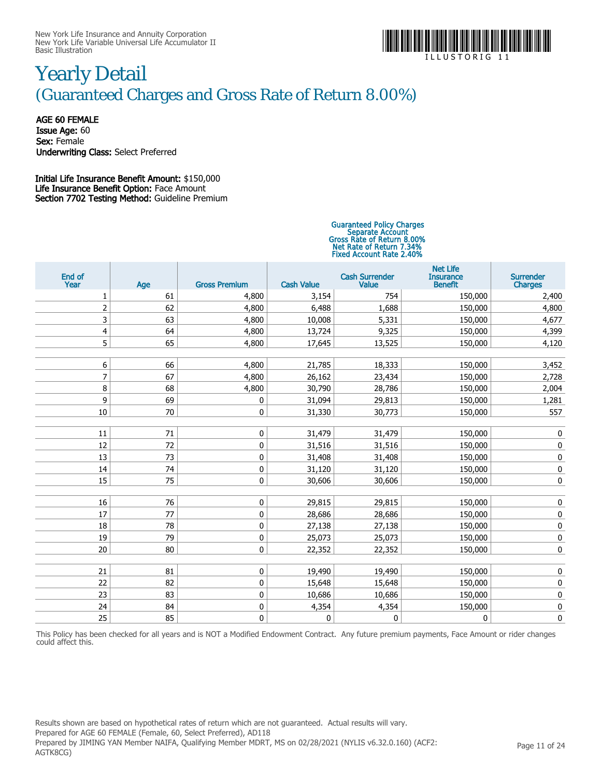

I L L U S T O R I G 1 1

## Yearly Detail (Guaranteed Charges and Gross Rate of Return 8.00%)

AGE 60 FEMALE Issue Age: 60 Sex: Female Underwriting Class: Select Preferred

Initial Life Insurance Benefit Amount: \$150,000 Life Insurance Benefit Option: Face Amount Section 7702 Testing Method: Guideline Premium

# Guaranteed Policy Charges Separate Account Gross Rate of Return 8.00% Net Rate of Return 7.34% Fixed Account Rate 2.40%

| End of<br>Year | Age | <b>Gross Premium</b> | <b>Cash Value</b> | <b>Cash Surrender</b><br><b>Value</b> | <b>Net Life</b><br><b>Insurance</b><br><b>Benefit</b> | <b>Surrender</b><br><b>Charges</b> |
|----------------|-----|----------------------|-------------------|---------------------------------------|-------------------------------------------------------|------------------------------------|
| 1              | 61  | 4,800                | 3,154             | 754                                   | 150,000                                               | 2,400                              |
| $\overline{2}$ | 62  | 4,800                | 6,488             | 1,688                                 | 150,000                                               | 4,800                              |
| 3              | 63  | 4,800                | 10,008            | 5,331                                 | 150,000                                               | 4,677                              |
| 4              | 64  | 4,800                | 13,724            | 9,325                                 | 150,000                                               | 4,399                              |
| 5              | 65  | 4,800                | 17,645            | 13,525                                | 150,000                                               | 4,120                              |
|                |     |                      |                   |                                       |                                                       |                                    |
| 6              | 66  | 4,800                | 21,785            | 18,333                                | 150,000                                               | 3,452                              |
| $\overline{7}$ | 67  | 4,800                | 26,162            | 23,434                                | 150,000                                               | 2,728                              |
| 8              | 68  | 4,800                | 30,790            | 28,786                                | 150,000                                               | 2,004                              |
| 9              | 69  | 0                    | 31,094            | 29,813                                | 150,000                                               | 1,281                              |
| 10             | 70  | $\mathbf 0$          | 31,330            | 30,773                                | 150,000                                               | 557                                |
|                |     |                      |                   |                                       |                                                       |                                    |
| 11             | 71  | 0                    | 31,479            | 31,479                                | 150,000                                               | 0                                  |
| 12             | 72  | $\mathbf 0$          | 31,516            | 31,516                                | 150,000                                               | $\pmb{0}$                          |
| 13             | 73  | $\mathbf 0$          | 31,408            | 31,408                                | 150,000                                               | $\pmb{0}$                          |
| 14             | 74  | $\mathbf 0$          | 31,120            | 31,120                                | 150,000                                               | $\pmb{0}$                          |
| 15             | 75  | $\pmb{0}$            | 30,606            | 30,606                                | 150,000                                               | $\pmb{0}$                          |
|                |     |                      |                   |                                       |                                                       |                                    |
| 16             | 76  | $\mathbf 0$          | 29,815            | 29,815                                | 150,000                                               | $\pmb{0}$                          |
| 17             | 77  | $\mathbf 0$          | 28,686            | 28,686                                | 150,000                                               | $\pmb{0}$                          |
| 18             | 78  | 0                    | 27,138            | 27,138                                | 150,000                                               | 0                                  |
| 19             | 79  | 0                    | 25,073            | 25,073                                | 150,000                                               | $\pmb{0}$                          |
| 20             | 80  | 0                    | 22,352            | 22,352                                | 150,000                                               | $\pmb{0}$                          |
|                |     |                      |                   |                                       |                                                       |                                    |
| 21             | 81  | $\pmb{0}$            | 19,490            | 19,490                                | 150,000                                               | 0                                  |
| 22             | 82  | $\pmb{0}$            | 15,648            | 15,648                                | 150,000                                               | 0                                  |
| 23             | 83  | $\pmb{0}$            | 10,686            | 10,686                                | 150,000                                               | $\pmb{0}$                          |
| 24             | 84  | $\pmb{0}$            | 4,354             | 4,354                                 | 150,000                                               | $\pmb{0}$                          |
| 25             | 85  | 0                    | 0                 | 0                                     | $\mathbf 0$                                           | $\mathbf 0$                        |

This Policy has been checked for all years and is NOT a Modified Endowment Contract. Any future premium payments, Face Amount or rider changes could affect this.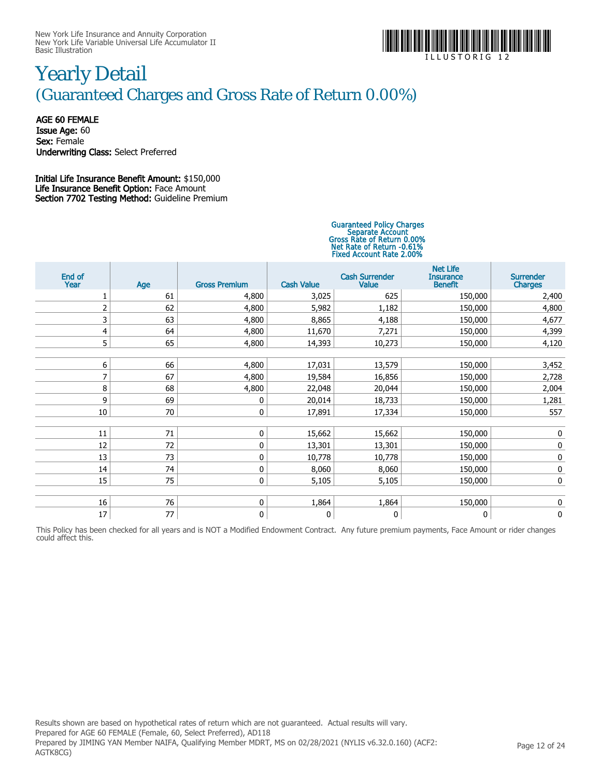

I L L U S T O R I G 1 2

## Yearly Detail (Guaranteed Charges and Gross Rate of Return 0.00%)

AGE 60 FEMALE Issue Age: 60 Sex: Female Underwriting Class: Select Preferred

Initial Life Insurance Benefit Amount: \$150,000 Life Insurance Benefit Option: Face Amount Section 7702 Testing Method: Guideline Premium

# Guaranteed Policy Charges Separate Account Gross Rate of Return 0.00% Net Rate of Return -0.61% Fixed Account Rate 2.00%

| End of<br>Year | Age | <b>Gross Premium</b> | <b>Cash Value</b> | <b>Cash Surrender</b><br>Value | <b>Net Life</b><br><b>Insurance</b><br><b>Benefit</b> | <b>Surrender</b><br><b>Charges</b> |
|----------------|-----|----------------------|-------------------|--------------------------------|-------------------------------------------------------|------------------------------------|
|                | 61  | 4,800                | 3,025             | 625                            | 150,000                                               | 2,400                              |
| $\overline{2}$ | 62  | 4,800                | 5,982             | 1,182                          | 150,000                                               | 4,800                              |
| 3              | 63  | 4,800                | 8,865             | 4,188                          | 150,000                                               | 4,677                              |
| 4              | 64  | 4,800                | 11,670            | 7,271                          | 150,000                                               | 4,399                              |
| 5              | 65  | 4,800                | 14,393            | 10,273                         | 150,000                                               | 4,120                              |
|                |     |                      |                   |                                |                                                       |                                    |
| 6              | 66  | 4,800                | 17,031            | 13,579                         | 150,000                                               | 3,452                              |
| 7              | 67  | 4,800                | 19,584            | 16,856                         | 150,000                                               | 2,728                              |
| 8              | 68  | 4,800                | 22,048            | 20,044                         | 150,000                                               | 2,004                              |
| 9              | 69  | 0                    | 20,014            | 18,733                         | 150,000                                               | 1,281                              |
| 10             | 70  | 0                    | 17,891            | 17,334                         | 150,000                                               | 557                                |
|                |     |                      |                   |                                |                                                       |                                    |
| 11             | 71  | 0                    | 15,662            | 15,662                         | 150,000                                               | 0                                  |
| 12             | 72  | 0                    | 13,301            | 13,301                         | 150,000                                               | 0                                  |
| 13             | 73  | $\mathbf 0$          | 10,778            | 10,778                         | 150,000                                               | 0                                  |
| 14             | 74  | 0                    | 8,060             | 8,060                          | 150,000                                               | 0                                  |
| 15             | 75  | 0                    | 5,105             | 5,105                          | 150,000                                               | 0                                  |
|                |     |                      |                   |                                |                                                       |                                    |
| 16             | 76  | 0                    | 1,864             | 1,864                          | 150,000                                               | 0                                  |
| 17             | 77  | 0                    | 0                 | 0                              | 0                                                     | 0                                  |

This Policy has been checked for all years and is NOT a Modified Endowment Contract. Any future premium payments, Face Amount or rider changes could affect this.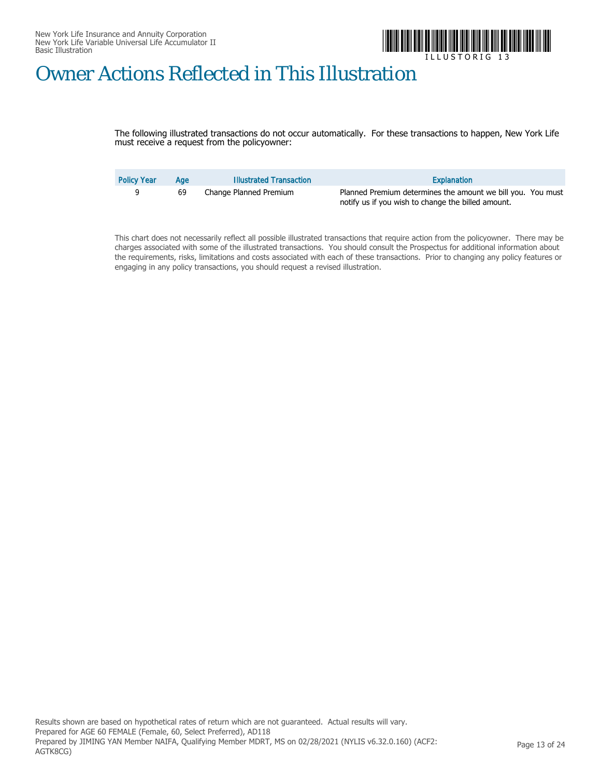

I L L U S T O R I G 1 3

## Owner Actions Reflected in This Illustration

The following illustrated transactions do not occur automatically. For these transactions to happen, New York Life must receive a request from the policyowner:

| <b>Policy Year</b> | Aae | <b>Illustrated Transaction</b> | Explanation                                                                                                       |
|--------------------|-----|--------------------------------|-------------------------------------------------------------------------------------------------------------------|
|                    | 69  | Change Planned Premium         | Planned Premium determines the amount we bill you. You must<br>notify us if you wish to change the billed amount. |

This chart does not necessarily reflect all possible illustrated transactions that require action from the policyowner. There may be charges associated with some of the illustrated transactions. You should consult the Prospectus for additional information about the requirements, risks, limitations and costs associated with each of these transactions. Prior to changing any policy features or engaging in any policy transactions, you should request a revised illustration.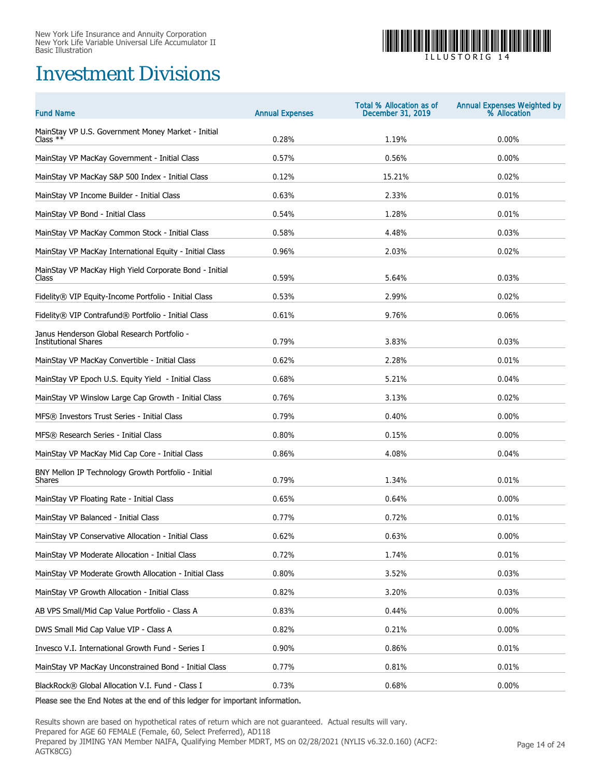## Investment Divisions



I L L U S T O R I G 1 4

| <b>Fund Name</b>                                                           | <b>Annual Expenses</b> | Total % Allocation as of<br>December 31, 2019 | Annual Expenses Weighted by<br>% Allocation |
|----------------------------------------------------------------------------|------------------------|-----------------------------------------------|---------------------------------------------|
| MainStay VP U.S. Government Money Market - Initial<br>Class $**$           | 0.28%                  | 1.19%                                         | 0.00%                                       |
| MainStay VP MacKay Government - Initial Class                              | 0.57%                  | 0.56%                                         | 0.00%                                       |
| MainStay VP MacKay S&P 500 Index - Initial Class                           | 0.12%                  | 15.21%                                        | 0.02%                                       |
| MainStay VP Income Builder - Initial Class                                 | 0.63%                  | 2.33%                                         | 0.01%                                       |
| MainStay VP Bond - Initial Class                                           | 0.54%                  | 1.28%                                         | 0.01%                                       |
| MainStay VP MacKay Common Stock - Initial Class                            | 0.58%                  | 4.48%                                         | 0.03%                                       |
| MainStay VP MacKay International Equity - Initial Class                    | 0.96%                  | 2.03%                                         | 0.02%                                       |
| MainStay VP MacKay High Yield Corporate Bond - Initial<br>Class            | 0.59%                  | 5.64%                                         | 0.03%                                       |
| Fidelity® VIP Equity-Income Portfolio - Initial Class                      | 0.53%                  | 2.99%                                         | 0.02%                                       |
| Fidelity® VIP Contrafund® Portfolio - Initial Class                        | 0.61%                  | 9.76%                                         | 0.06%                                       |
| Janus Henderson Global Research Portfolio -<br><b>Institutional Shares</b> | 0.79%                  | 3.83%                                         | 0.03%                                       |
| MainStay VP MacKay Convertible - Initial Class                             | 0.62%                  | 2.28%                                         | 0.01%                                       |
| MainStay VP Epoch U.S. Equity Yield - Initial Class                        | 0.68%                  | 5.21%                                         | 0.04%                                       |
| MainStay VP Winslow Large Cap Growth - Initial Class                       | 0.76%                  | 3.13%                                         | 0.02%                                       |
| MFS® Investors Trust Series - Initial Class                                | 0.79%                  | 0.40%                                         | 0.00%                                       |
| MFS® Research Series - Initial Class                                       | 0.80%                  | 0.15%                                         | 0.00%                                       |
| MainStay VP MacKay Mid Cap Core - Initial Class                            | 0.86%                  | 4.08%                                         | 0.04%                                       |
| BNY Mellon IP Technology Growth Portfolio - Initial<br>Shares              | 0.79%                  | 1.34%                                         | 0.01%                                       |
| MainStay VP Floating Rate - Initial Class                                  | 0.65%                  | 0.64%                                         | 0.00%                                       |
| MainStay VP Balanced - Initial Class                                       | 0.77%                  | 0.72%                                         | 0.01%                                       |
| MainStay VP Conservative Allocation - Initial Class                        | 0.62%                  | 0.63%                                         | 0.00%                                       |
| MainStay VP Moderate Allocation - Initial Class                            | 0.72%                  | 1.74%                                         | 0.01%                                       |
| MainStay VP Moderate Growth Allocation - Initial Class                     | 0.80%                  | 3.52%                                         | 0.03%                                       |
| MainStay VP Growth Allocation - Initial Class                              | 0.82%                  | 3.20%                                         | 0.03%                                       |
| AB VPS Small/Mid Cap Value Portfolio - Class A                             | 0.83%                  | 0.44%                                         | 0.00%                                       |
| DWS Small Mid Cap Value VIP - Class A                                      | 0.82%                  | 0.21%                                         | 0.00%                                       |
| Invesco V.I. International Growth Fund - Series I                          | 0.90%                  | 0.86%                                         | 0.01%                                       |
| MainStay VP MacKay Unconstrained Bond - Initial Class                      | 0.77%                  | 0.81%                                         | 0.01%                                       |
| BlackRock® Global Allocation V.I. Fund - Class I                           | 0.73%                  | 0.68%                                         | 0.00%                                       |

Please see the End Notes at the end of this ledger for important information.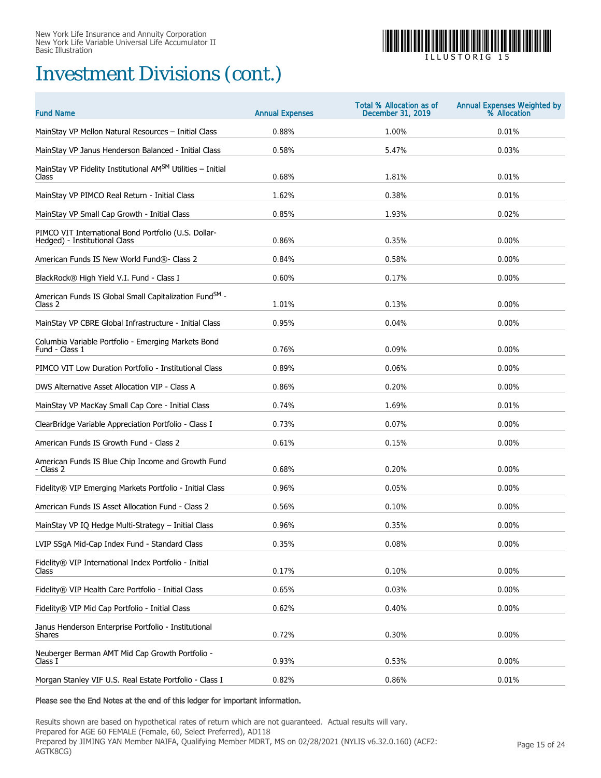## Investment Divisions (cont.)



I L L U S T O R I G 1 5

| <b>Fund Name</b>                                                                      | <b>Annual Expenses</b> | <b>Total % Allocation as of</b><br>December 31, 2019 | Annual Expenses Weighted by<br>% Allocation |
|---------------------------------------------------------------------------------------|------------------------|------------------------------------------------------|---------------------------------------------|
| MainStay VP Mellon Natural Resources - Initial Class                                  | 0.88%                  | 1.00%                                                | 0.01%                                       |
| MainStay VP Janus Henderson Balanced - Initial Class                                  | 0.58%                  | 5.47%                                                | 0.03%                                       |
| MainStay VP Fidelity Institutional AMSM Utilities - Initial<br>Class                  | 0.68%                  | 1.81%                                                | 0.01%                                       |
| MainStay VP PIMCO Real Return - Initial Class                                         | 1.62%                  | 0.38%                                                | 0.01%                                       |
| MainStay VP Small Cap Growth - Initial Class                                          | 0.85%                  | 1.93%                                                | 0.02%                                       |
| PIMCO VIT International Bond Portfolio (U.S. Dollar-<br>Hedged) - Institutional Class | 0.86%                  | 0.35%                                                | 0.00%                                       |
| American Funds IS New World Fund®- Class 2                                            | 0.84%                  | 0.58%                                                | 0.00%                                       |
| BlackRock® High Yield V.I. Fund - Class I                                             | 0.60%                  | 0.17%                                                | 0.00%                                       |
| American Funds IS Global Small Capitalization FundSM -<br>Class 2                     | 1.01%                  | 0.13%                                                | 0.00%                                       |
| MainStay VP CBRE Global Infrastructure - Initial Class                                | 0.95%                  | 0.04%                                                | 0.00%                                       |
| Columbia Variable Portfolio - Emerging Markets Bond<br>Fund - Class 1                 | 0.76%                  | 0.09%                                                | $0.00\%$                                    |
| PIMCO VIT Low Duration Portfolio - Institutional Class                                | 0.89%                  | 0.06%                                                | 0.00%                                       |
| DWS Alternative Asset Allocation VIP - Class A                                        | 0.86%                  | 0.20%                                                | 0.00%                                       |
| MainStay VP MacKay Small Cap Core - Initial Class                                     | 0.74%                  | 1.69%                                                | 0.01%                                       |
| ClearBridge Variable Appreciation Portfolio - Class I                                 | 0.73%                  | 0.07%                                                | 0.00%                                       |
| American Funds IS Growth Fund - Class 2                                               | 0.61%                  | 0.15%                                                | 0.00%                                       |
| American Funds IS Blue Chip Income and Growth Fund<br>- Class 2                       | 0.68%                  | 0.20%                                                | 0.00%                                       |
| Fidelity® VIP Emerging Markets Portfolio - Initial Class                              | 0.96%                  | 0.05%                                                | 0.00%                                       |
| American Funds IS Asset Allocation Fund - Class 2                                     | 0.56%                  | 0.10%                                                | 0.00%                                       |
| MainStay VP IQ Hedge Multi-Strategy - Initial Class                                   | 0.96%                  | 0.35%                                                | 0.00%                                       |
| LVIP SSgA Mid-Cap Index Fund - Standard Class                                         | 0.35%                  | $0.08\%$                                             | $0.00\%$                                    |
| Fidelity® VIP International Index Portfolio - Initial<br>Class                        | 0.17%                  | 0.10%                                                | 0.00%                                       |
| Fidelity® VIP Health Care Portfolio - Initial Class                                   | 0.65%                  | 0.03%                                                | 0.00%                                       |
| Fidelity® VIP Mid Cap Portfolio - Initial Class                                       | 0.62%                  | 0.40%                                                | 0.00%                                       |
| Janus Henderson Enterprise Portfolio - Institutional<br><b>Shares</b>                 | 0.72%                  | 0.30%                                                | 0.00%                                       |
| Neuberger Berman AMT Mid Cap Growth Portfolio -<br>Class I                            | 0.93%                  | 0.53%                                                | 0.00%                                       |
| Morgan Stanley VIF U.S. Real Estate Portfolio - Class I                               | 0.82%                  | 0.86%                                                | 0.01%                                       |

### Please see the End Notes at the end of this ledger for important information.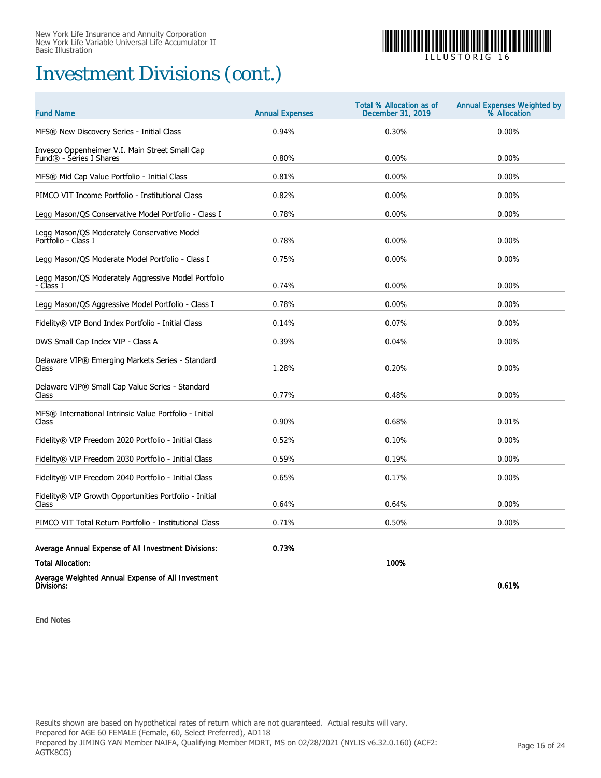## Investment Divisions (cont.)



I L L U S T O R I G 1 6

| <b>Fund Name</b>                                                          | <b>Annual Expenses</b> | <b>Total % Allocation as of</b><br>December 31, 2019 | <b>Annual Expenses Weighted by</b><br>% Allocation |
|---------------------------------------------------------------------------|------------------------|------------------------------------------------------|----------------------------------------------------|
| MFS® New Discovery Series - Initial Class                                 | 0.94%                  | 0.30%                                                | 0.00%                                              |
| Invesco Oppenheimer V.I. Main Street Small Cap<br>Fund® - Series I Shares | 0.80%                  | 0.00%                                                | 0.00%                                              |
| MFS® Mid Cap Value Portfolio - Initial Class                              | 0.81%                  | 0.00%                                                | 0.00%                                              |
| PIMCO VIT Income Portfolio - Institutional Class                          | 0.82%                  | 0.00%                                                | 0.00%                                              |
| Legg Mason/OS Conservative Model Portfolio - Class I                      | 0.78%                  | 0.00%                                                | 0.00%                                              |
| Legg Mason/QS Moderately Conservative Model<br>Portfolio - Class I        | 0.78%                  | 0.00%                                                | 0.00%                                              |
| Legg Mason/QS Moderate Model Portfolio - Class I                          | 0.75%                  | 0.00%                                                | 0.00%                                              |
| Legg Mason/QS Moderately Aggressive Model Portfolio<br>- Class I          | 0.74%                  | 0.00%                                                | 0.00%                                              |
| Legg Mason/OS Aggressive Model Portfolio - Class I                        | 0.78%                  | 0.00%                                                | 0.00%                                              |
| Fidelity® VIP Bond Index Portfolio - Initial Class                        | 0.14%                  | 0.07%                                                | 0.00%                                              |
| DWS Small Cap Index VIP - Class A                                         | 0.39%                  | 0.04%                                                | 0.00%                                              |
| Delaware VIP® Emerging Markets Series - Standard<br>Class                 | 1.28%                  | 0.20%                                                | 0.00%                                              |
| Delaware VIP® Small Cap Value Series - Standard<br>Class                  | 0.77%                  | 0.48%                                                | 0.00%                                              |
| MFS® International Intrinsic Value Portfolio - Initial<br>Class           | 0.90%                  | 0.68%                                                | 0.01%                                              |
| Fidelity® VIP Freedom 2020 Portfolio - Initial Class                      | 0.52%                  | 0.10%                                                | 0.00%                                              |
| Fidelity® VIP Freedom 2030 Portfolio - Initial Class                      | 0.59%                  | 0.19%                                                | 0.00%                                              |
| Fidelity® VIP Freedom 2040 Portfolio - Initial Class                      | 0.65%                  | 0.17%                                                | 0.00%                                              |
| Fidelity® VIP Growth Opportunities Portfolio - Initial<br>Class           | 0.64%                  | 0.64%                                                | 0.00%                                              |
| PIMCO VIT Total Return Portfolio - Institutional Class                    | 0.71%                  | 0.50%                                                | 0.00%                                              |
| Average Annual Expense of All Investment Divisions:                       | 0.73%                  |                                                      |                                                    |
| <b>Total Allocation:</b>                                                  |                        | 100%                                                 |                                                    |
| Average Weighted Annual Expense of All Investment<br>Divisions:           |                        |                                                      | 0.61%                                              |

End Notes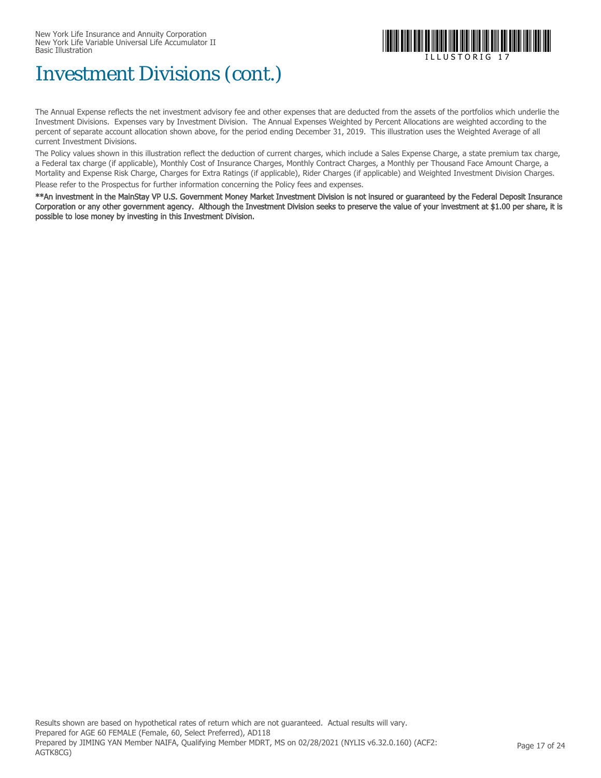

## Investment Divisions (cont.)

The Annual Expense reflects the net investment advisory fee and other expenses that are deducted from the assets of the portfolios which underlie the Investment Divisions. Expenses vary by Investment Division. The Annual Expenses Weighted by Percent Allocations are weighted according to the percent of separate account allocation shown above, for the period ending December 31, 2019. This illustration uses the Weighted Average of all current Investment Divisions.

The Policy values shown in this illustration reflect the deduction of current charges, which include a Sales Expense Charge, a state premium tax charge, a Federal tax charge (if applicable), Monthly Cost of Insurance Charges, Monthly Contract Charges, a Monthly per Thousand Face Amount Charge, a Mortality and Expense Risk Charge, Charges for Extra Ratings (if applicable), Rider Charges (if applicable) and Weighted Investment Division Charges. Please refer to the Prospectus for further information concerning the Policy fees and expenses.

\*\*An investment in the MainStay VP U.S. Government Money Market Investment Division is not insured or guaranteed by the Federal Deposit Insurance Corporation or any other government agency. Although the Investment Division seeks to preserve the value of your investment at \$1.00 per share, it is possible to lose money by investing in this Investment Division.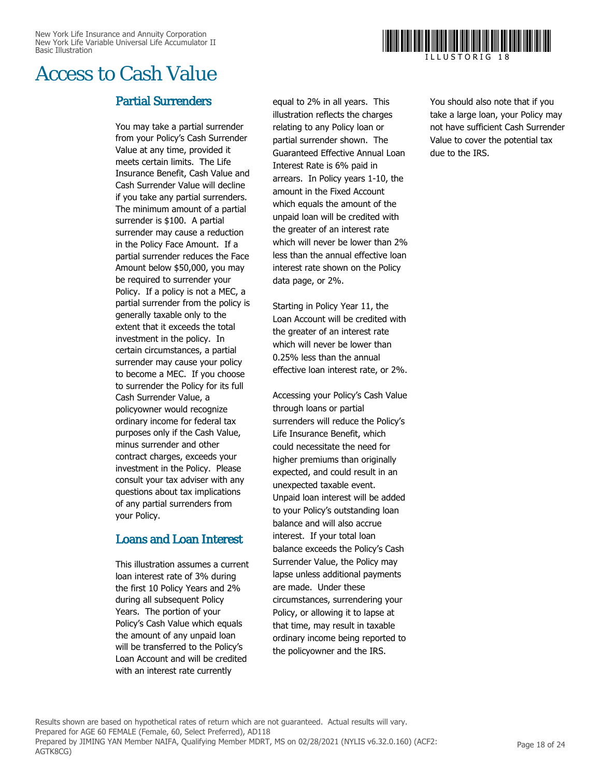

### Access to Cash Value

### Partial Surrenders

You may take a partial surrender from your Policy's Cash Surrender Value at any time, provided it meets certain limits. The Life Insurance Benefit, Cash Value and Cash Surrender Value will decline if you take any partial surrenders. The minimum amount of a partial surrender is \$100. A partial surrender may cause a reduction in the Policy Face Amount. If a partial surrender reduces the Face Amount below \$50,000, you may be required to surrender your Policy. If a policy is not a MEC, a partial surrender from the policy is generally taxable only to the extent that it exceeds the total investment in the policy. In certain circumstances, a partial surrender may cause your policy to become a MEC. If you choose to surrender the Policy for its full Cash Surrender Value, a policyowner would recognize ordinary income for federal tax purposes only if the Cash Value, minus surrender and other contract charges, exceeds your investment in the Policy. Please consult your tax adviser with any questions about tax implications of any partial surrenders from your Policy.

### Loans and Loan Interest

This illustration assumes a current loan interest rate of 3% during the first 10 Policy Years and 2% during all subsequent Policy Years. The portion of your Policy's Cash Value which equals the amount of any unpaid loan will be transferred to the Policy's Loan Account and will be credited with an interest rate currently

equal to 2% in all years. This illustration reflects the charges relating to any Policy loan or partial surrender shown. The Guaranteed Effective Annual Loan Interest Rate is 6% paid in arrears. In Policy years 1-10, the amount in the Fixed Account which equals the amount of the unpaid loan will be credited with the greater of an interest rate which will never be lower than 2% less than the annual effective loan interest rate shown on the Policy data page, or 2%.

Starting in Policy Year 11, the Loan Account will be credited with the greater of an interest rate which will never be lower than 0.25% less than the annual effective loan interest rate, or 2%.

Accessing your Policy's Cash Value through loans or partial surrenders will reduce the Policy's Life Insurance Benefit, which could necessitate the need for higher premiums than originally expected, and could result in an unexpected taxable event. Unpaid loan interest will be added to your Policy's outstanding loan balance and will also accrue interest. If your total loan balance exceeds the Policy's Cash Surrender Value, the Policy may lapse unless additional payments are made. Under these circumstances, surrendering your Policy, or allowing it to lapse at that time, may result in taxable ordinary income being reported to the policyowner and the IRS.

You should also note that if you take a large loan, your Policy may not have sufficient Cash Surrender Value to cover the potential tax due to the IRS.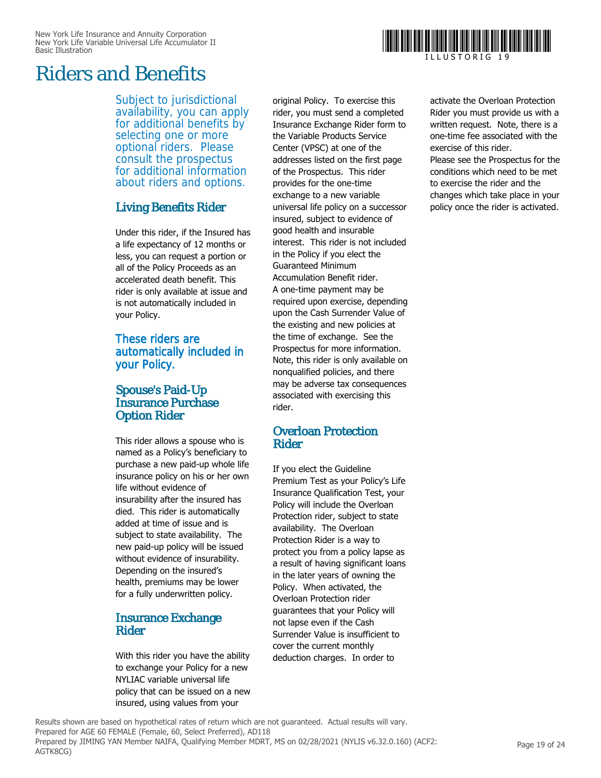## Riders and Benefits

Subject to jurisdictional availability, you can apply for additional benefits by selecting one or more optional riders. Please consult the prospectus for additional information about riders and options.

### Living Benefits Rider

Under this rider, if the Insured has a life expectancy of 12 months or less, you can request a portion or all of the Policy Proceeds as an accelerated death benefit. This rider is only available at issue and is not automatically included in your Policy.

### These riders are automatically included in your Policy.

### Spouse's Paid-Up Insurance Purchase Option Rider

This rider allows a spouse who is named as a Policy's beneficiary to purchase a new paid-up whole life insurance policy on his or her own life without evidence of insurability after the insured has died. This rider is automatically added at time of issue and is subject to state availability. The new paid-up policy will be issued without evidence of insurability. Depending on the insured's health, premiums may be lower for a fully underwritten policy.

### Insurance Exchange Rider

With this rider you have the ability to exchange your Policy for a new NYLIAC variable universal life policy that can be issued on a new insured, using values from your

original Policy. To exercise this rider, you must send a completed Insurance Exchange Rider form to the Variable Products Service Center (VPSC) at one of the addresses listed on the first page of the Prospectus. This rider provides for the one-time exchange to a new variable universal life policy on a successor insured, subject to evidence of good health and insurable interest. This rider is not included in the Policy if you elect the Guaranteed Minimum Accumulation Benefit rider. A one-time payment may be required upon exercise, depending upon the Cash Surrender Value of the existing and new policies at the time of exchange. See the Prospectus for more information. Note, this rider is only available on nonqualified policies, and there may be adverse tax consequences associated with exercising this rider.

### Overloan Protection Rider

If you elect the Guideline Premium Test as your Policy's Life Insurance Qualification Test, your Policy will include the Overloan Protection rider, subject to state availability. The Overloan Protection Rider is a way to protect you from a policy lapse as a result of having significant loans in the later years of owning the Policy. When activated, the Overloan Protection rider guarantees that your Policy will not lapse even if the Cash Surrender Value is insufficient to cover the current monthly deduction charges. In order to

activate the Overloan Protection Rider you must provide us with a written request. Note, there is a one-time fee associated with the exercise of this rider.

Please see the Prospectus for the conditions which need to be met to exercise the rider and the changes which take place in your policy once the rider is activated.

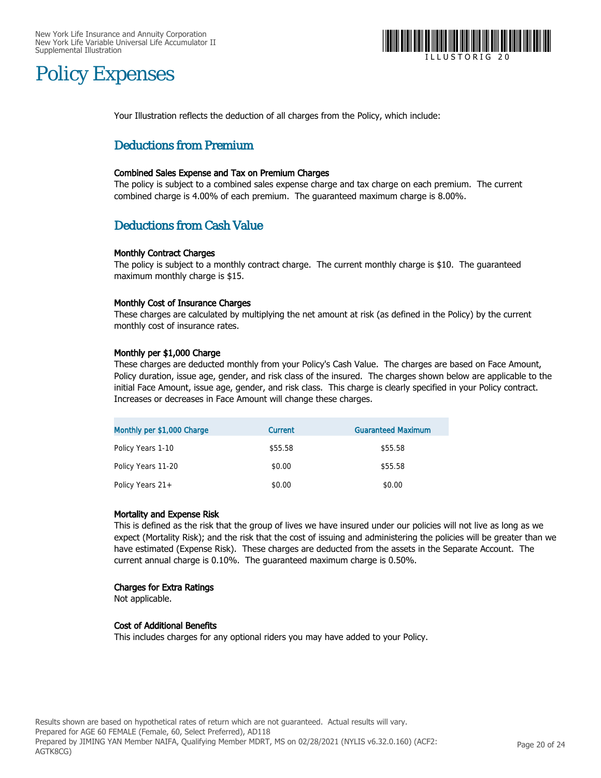

## Policy Expenses

Your Illustration reflects the deduction of all charges from the Policy, which include:

### Deductions from Premium

### Combined Sales Expense and Tax on Premium Charges

The policy is subject to a combined sales expense charge and tax charge on each premium. The current combined charge is 4.00% of each premium. The guaranteed maximum charge is 8.00%.

### Deductions from Cash Value

### Monthly Contract Charges

The policy is subject to a monthly contract charge. The current monthly charge is \$10. The guaranteed maximum monthly charge is \$15.

### Monthly Cost of Insurance Charges

These charges are calculated by multiplying the net amount at risk (as defined in the Policy) by the current monthly cost of insurance rates.

### Monthly per \$1,000 Charge

These charges are deducted monthly from your Policy's Cash Value. The charges are based on Face Amount, Policy duration, issue age, gender, and risk class of the insured. The charges shown below are applicable to the initial Face Amount, issue age, gender, and risk class. This charge is clearly specified in your Policy contract. Increases or decreases in Face Amount will change these charges.

| Monthly per \$1,000 Charge | Current | <b>Guaranteed Maximum</b> |
|----------------------------|---------|---------------------------|
| Policy Years 1-10          | \$55.58 | \$55.58                   |
| Policy Years 11-20         | \$0.00  | \$55.58                   |
| Policy Years $21+$         | \$0.00  | \$0.00                    |

### Mortality and Expense Risk

This is defined as the risk that the group of lives we have insured under our policies will not live as long as we expect (Mortality Risk); and the risk that the cost of issuing and administering the policies will be greater than we have estimated (Expense Risk). These charges are deducted from the assets in the Separate Account. The current annual charge is 0.10%. The guaranteed maximum charge is 0.50%.

### Charges for Extra Ratings

Not applicable.

### Cost of Additional Benefits

This includes charges for any optional riders you may have added to your Policy.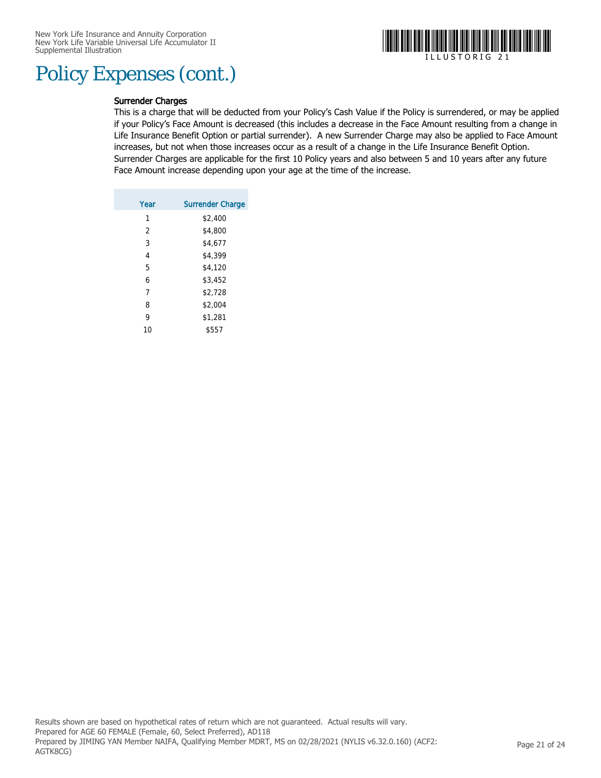## Policy Expenses (cont.)



### Surrender Charges

This is a charge that will be deducted from your Policy's Cash Value if the Policy is surrendered, or may be applied if your Policy's Face Amount is decreased (this includes a decrease in the Face Amount resulting from a change in Life Insurance Benefit Option or partial surrender). A new Surrender Charge may also be applied to Face Amount increases, but not when those increases occur as a result of a change in the Life Insurance Benefit Option. Surrender Charges are applicable for the first 10 Policy years and also between 5 and 10 years after any future Face Amount increase depending upon your age at the time of the increase.

| <b>Surrender Charge</b> |
|-------------------------|
| \$2,400                 |
| \$4,800                 |
| \$4,677                 |
| \$4,399                 |
| \$4,120                 |
| \$3,452                 |
| \$2,728                 |
| \$2,004                 |
| \$1,281                 |
| \$557                   |
|                         |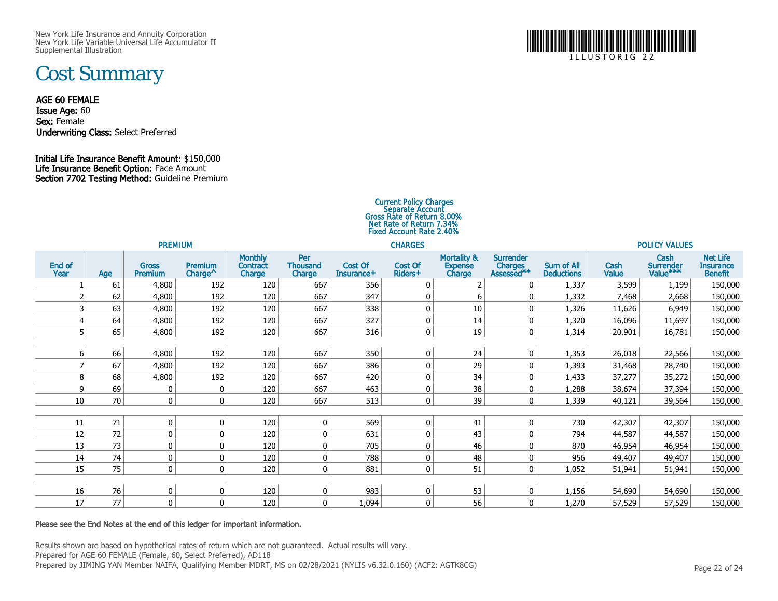New York Life Insurance and Annuity Corporation New York Life Variable Universal Life Accumulator IISupplemental Illustration

## Cost Summary

### AGE 60 FEMALE

Issue Age: 60Sex: Female **Underwriting Class:** Select Preferred

### Initial Life Insurance Benefit Amount: \$150,000Life Insurance Benefit Option: Face Amount Section 7702 Testing Method: Guideline Premium

### Current Policy Charges<br>Separate Account<br>Gross Rate of Return 8.00% Net Rate of Return 7.34%Fixed Account Rate 2.40%

| <b>PREMIUM</b> |     |                                |                                |                                      |                                  | <b>CHARGES</b>        |                    |                                                    |                                           |                                        |                      | <b>POLICY VALUES</b>          |                                                       |  |  |
|----------------|-----|--------------------------------|--------------------------------|--------------------------------------|----------------------------------|-----------------------|--------------------|----------------------------------------------------|-------------------------------------------|----------------------------------------|----------------------|-------------------------------|-------------------------------------------------------|--|--|
| End of<br>Year | Age | <b>Gross</b><br><b>Premium</b> | Premium<br>Charge <sup>^</sup> | <b>Monthly</b><br>Contract<br>Charge | Per<br><b>Thousand</b><br>Charge | Cost Of<br>Insurance+ | Cost Of<br>Riders+ | <b>Mortality &amp;</b><br><b>Expense</b><br>Charge | <b>Surrender</b><br>Charges<br>Assessed** | <b>Sum of All</b><br><b>Deductions</b> | Cash<br><b>Value</b> | Cash<br>Surrender<br>Value*** | <b>Net Life</b><br><b>Insurance</b><br><b>Benefit</b> |  |  |
|                | 61  | 4,800                          | 192                            | 120                                  | 667                              | 356                   | $\mathbf 0$        | 2                                                  | 0                                         | 1,337                                  | 3,599                | 1,199                         | 150,000                                               |  |  |
|                | 62  | 4,800                          | 192                            | 120                                  | 667                              | 347                   | 0                  | 6                                                  | 0                                         | 1,332                                  | 7,468                | 2,668                         | 150,000                                               |  |  |
|                | 63  | 4,800                          | 192                            | 120                                  | 667                              | 338                   | 0                  | 10                                                 | 0                                         | 1,326                                  | 11,626               | 6,949                         | 150,000                                               |  |  |
|                | 64  | 4,800                          | 192                            | 120                                  | 667                              | 327                   | $\mathbf 0$        | 14                                                 | $\mathbf{0}$                              | 1,320                                  | 16,096               | 11,697                        | 150,000                                               |  |  |
| 5 <sup>1</sup> | 65  | 4,800                          | 192                            | 120                                  | 667                              | 316                   | $\pmb{0}$          | 19                                                 | $\mathbf 0$                               | 1,314                                  | 20,901               | 16,781                        | 150,000                                               |  |  |
|                |     |                                |                                |                                      |                                  |                       |                    |                                                    |                                           |                                        |                      |                               |                                                       |  |  |
| 6              | 66  | 4,800                          | 192                            | 120                                  | 667                              | 350                   | $\mathbf 0$        | 24                                                 | $\mathbf 0$                               | 1,353                                  | 26,018               | 22,566                        | 150,000                                               |  |  |
|                | 67  | 4,800                          | 192                            | 120                                  | 667                              | 386                   | $\mathbf 0$        | 29                                                 | 0                                         | 1,393                                  | 31,468               | 28,740                        | 150,000                                               |  |  |
| 8              | 68  | 4,800                          | 192                            | 120                                  | 667                              | 420                   | $\mathbf 0$        | 34                                                 | 0                                         | 1,433                                  | 37,277               | 35,272                        | 150,000                                               |  |  |
| 9              | 69  | 0                              | $\mathbf{0}$                   | 120                                  | 667                              | 463                   | $\mathbf 0$        | 38                                                 | 0                                         | 1,288                                  | 38,674               | 37,394                        | 150,000                                               |  |  |
| 10             | 70  | $\mathbf 0$                    | $\overline{0}$                 | 120                                  | 667                              | 513                   | $\mathbf 0$        | 39                                                 | $\mathbf{0}$                              | 1,339                                  | 40,121               | 39,564                        | 150,000                                               |  |  |
|                |     |                                |                                |                                      |                                  |                       |                    |                                                    |                                           |                                        |                      |                               |                                                       |  |  |
| 11             | 71  | 0                              | $\mathbf 0$                    | 120                                  | 0                                | 569                   | $\mathbf 0$        | 41                                                 | $\mathbf{0}$                              | 730                                    | 42,307               | 42,307                        | 150,000                                               |  |  |
| 12             | 72  | 0                              | 0                              | 120                                  | 0                                | 631                   | $\mathbf 0$        | 43                                                 | 0                                         | 794                                    | 44,587               | 44,587                        | 150,000                                               |  |  |
| 13             | 73  | 0                              | 0                              | 120                                  | 0                                | 705                   | $\mathbf 0$        | 46                                                 | 0                                         | 870                                    | 46,954               | 46,954                        | 150,000                                               |  |  |
| 14             | 74  | 0                              | 0                              | 120                                  | 0                                | 788                   | 0                  | 48                                                 | 0                                         | 956                                    | 49,407               | 49,407                        | 150,000                                               |  |  |
| 15             | 75  | $\mathbf 0$                    | $\mathbf 0$                    | 120                                  | 0                                | 881                   | $\mathbf 0$        | 51                                                 | $\mathbf 0$                               | 1,052                                  | 51,941               | 51,941                        | 150,000                                               |  |  |
|                |     |                                |                                |                                      |                                  |                       |                    |                                                    |                                           |                                        |                      |                               |                                                       |  |  |
| 16             | 76  | 0                              | $\mathbf 0$                    | 120                                  | 0                                | 983                   | 0                  | 53                                                 | $\mathbf 0$                               | 1,156                                  | 54,690               | 54,690                        | 150,000                                               |  |  |
| 17             | 77  | 0                              | $\mathbf 0$                    | 120                                  | 0                                | 1,094                 | $\mathbf 0$        | 56                                                 | $\mathbf 0$                               | 1,270                                  | 57,529               | 57,529                        | 150,000                                               |  |  |

### Please see the End Notes at the end of this ledger for important information.

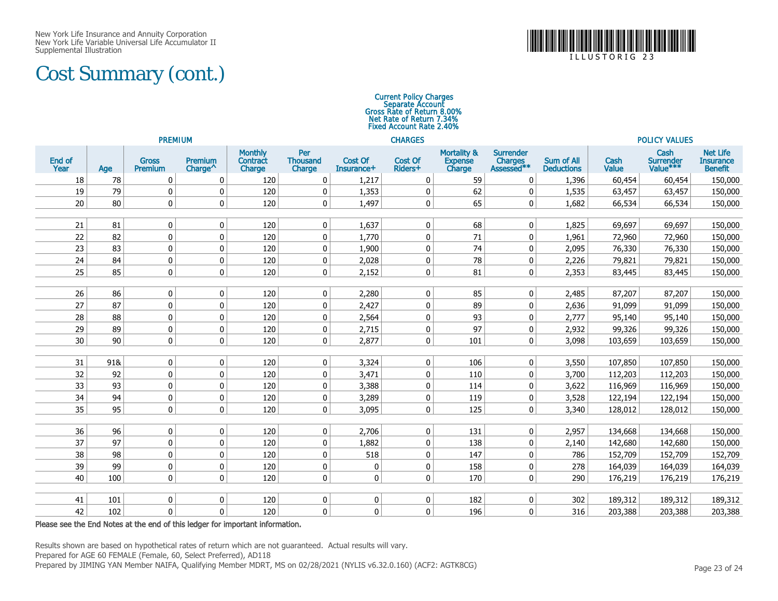## Cost Summary (cont.)



### Current Policy Charges<br>Separate Account<br>Gross Rate of Return 8.00% Net Rate of Return 7.34%Fixed Account Rate 2.40%

| <b>PREMIUM</b> |     |                                |                                                  |                                             |                                  |                       | <b>CHARGES</b>     |                                                    |                                           | <b>POLICY VALUES</b>                   |               |                               |                                                       |
|----------------|-----|--------------------------------|--------------------------------------------------|---------------------------------------------|----------------------------------|-----------------------|--------------------|----------------------------------------------------|-------------------------------------------|----------------------------------------|---------------|-------------------------------|-------------------------------------------------------|
| End of<br>Year | Age | <b>Gross</b><br><b>Premium</b> | Premium<br>Charge <sup><math>\wedge</math></sup> | <b>Monthly</b><br><b>Contract</b><br>Charge | Per<br><b>Thousand</b><br>Charge | Cost Of<br>Insurance+ | Cost Of<br>Riders+ | <b>Mortality &amp;</b><br><b>Expense</b><br>Charge | <b>Surrender</b><br>Charges<br>Assessed** | <b>Sum of All</b><br><b>Deductions</b> | Cash<br>Value | Cash<br>Surrender<br>Value*** | <b>Net Life</b><br><b>Insurance</b><br><b>Benefit</b> |
| 18             | 78  | 0                              | $\mathbf 0$                                      | 120                                         | 0                                | 1,217                 | $\mathbf 0$        | 59                                                 | 0                                         | 1,396                                  | 60,454        | 60,454                        | 150,000                                               |
| 19             | 79  | 0                              | $\mathbf 0$                                      | 120                                         | 0                                | 1,353                 | 0                  | 62                                                 | 0                                         | 1,535                                  | 63,457        | 63,457                        | 150,000                                               |
| 20             | 80  | 0                              | $\mathbf{0}$                                     | 120                                         | 0                                | 1,497                 | 0                  | 65                                                 | $\pmb{0}$                                 | 1,682                                  | 66,534        | 66,534                        | 150,000                                               |
|                |     |                                |                                                  |                                             |                                  |                       |                    |                                                    |                                           |                                        |               |                               |                                                       |
| 21             | 81  | $\mathbf 0$                    | $\mathbf 0$                                      | 120                                         | $\mathbf 0$                      | 1,637                 | $\Omega$           | 68                                                 | $\mathbf{0}$                              | 1,825                                  | 69,697        | 69,697                        | 150,000                                               |
| 22             | 82  | $\mathbf 0$                    | $\mathbf{0}$                                     | 120                                         | $\mathbf 0$                      | 1,770                 | 0                  | 71                                                 | $\pmb{0}$                                 | 1,961                                  | 72,960        | 72,960                        | 150,000                                               |
| 23             | 83  | 0                              | $\mathbf 0$                                      | 120                                         | 0                                | 1,900                 | 0                  | 74                                                 | $\mathbf 0$                               | 2,095                                  | 76,330        | 76,330                        | 150,000                                               |
| 24             | 84  | $\mathbf 0$                    | $\mathbf 0$                                      | 120                                         | 0                                | 2,028                 | 0                  | 78                                                 | 0                                         | 2,226                                  | 79,821        | 79,821                        | 150,000                                               |
| 25             | 85  | 0                              | $\mathbf 0$                                      | 120                                         | $\pmb{0}$                        | 2,152                 | 0                  | 81                                                 | $\mathbf 0$                               | 2,353                                  | 83,445        | 83,445                        | 150,000                                               |
|                |     |                                |                                                  |                                             |                                  |                       |                    |                                                    |                                           |                                        |               |                               |                                                       |
| 26             | 86  | 0                              | $\mathbf 0$                                      | 120                                         | 0                                | 2,280                 | 0                  | 85                                                 | 0                                         | 2,485                                  | 87,207        | 87,207                        | 150,000                                               |
| 27             | 87  | 0                              | $\mathbf{0}$                                     | 120                                         | 0                                | 2,427                 | 0                  | 89                                                 | 0                                         | 2,636                                  | 91,099        | 91,099                        | 150,000                                               |
| 28             | 88  | $\mathbf 0$                    | $\mathbf 0$                                      | 120                                         | 0                                | 2,564                 | 0                  | 93                                                 | $\mathbf 0$                               | 2,777                                  | 95,140        | 95,140                        | 150,000                                               |
| 29             | 89  | $\mathbf 0$                    | $\mathbf 0$                                      | 120                                         | 0                                | 2,715                 | 0                  | 97                                                 | 0                                         | 2,932                                  | 99,326        | 99,326                        | 150,000                                               |
| 30             | 90  | 0                              | $\mathbf{0}$                                     | 120                                         | 0                                | 2,877                 | 0                  | 101                                                | $\mathbf 0$                               | 3,098                                  | 103,659       | 103,659                       | 150,000                                               |
| 31             | 91& | $\mathbf 0$                    | $\mathbf 0$                                      | 120                                         | $\pmb{0}$                        | 3,324                 | $\mathbf 0$        | 106                                                | $\mathbf 0$                               | 3,550                                  | 107,850       | 107,850                       | 150,000                                               |
| 32             | 92  | 0                              | $\mathbf 0$                                      | 120                                         | 0                                | 3,471                 | 0                  | 110                                                | 0                                         | 3,700                                  | 112,203       | 112,203                       | 150,000                                               |
| 33             | 93  | $\mathbf 0$                    | $\mathbf{0}$                                     | 120                                         | 0                                | 3,388                 | 0                  | 114                                                | $\mathbf 0$                               | 3,622                                  | 116,969       | 116,969                       | 150,000                                               |
| 34             | 94  | 0                              | $\mathbf 0$                                      | 120                                         | 0                                | 3,289                 | $\mathbf 0$        | 119                                                | 0                                         | 3,528                                  | 122,194       | 122,194                       | 150,000                                               |
| 35             | 95  | $\mathbf 0$                    | $\mathbf{0}$                                     | 120                                         | 0                                | 3,095                 | 0                  | 125                                                | $\mathbf 0$                               | 3,340                                  | 128,012       | 128,012                       | 150,000                                               |
|                |     |                                |                                                  |                                             |                                  |                       |                    |                                                    |                                           |                                        |               |                               |                                                       |
| 36             | 96  | $\mathbf 0$                    | $\mathbf 0$                                      | 120                                         | $\mathbf 0$                      | 2,706                 | 0                  | 131                                                | $\mathbf{0}$                              | 2,957                                  | 134,668       | 134,668                       | 150,000                                               |
| 37             | 97  | 0                              | $\mathbf 0$                                      | 120                                         | 0                                | 1,882                 | 0                  | 138                                                | 0                                         | 2,140                                  | 142,680       | 142,680                       | 150,000                                               |
| 38             | 98  | 0                              | $\mathbf 0$                                      | 120                                         | 0                                | 518                   | 0                  | 147                                                | $\mathbf 0$                               | 786                                    | 152,709       | 152,709                       | 152,709                                               |
| 39             | 99  | 0                              | $\mathbf 0$                                      | 120                                         | $\pmb{0}$                        | 0                     | 0                  | 158                                                | $\pmb{0}$                                 | 278                                    | 164,039       | 164,039                       | 164,039                                               |
| 40             | 100 | $\mathbf 0$                    | $\mathbf{0}$                                     | 120                                         | $\mathbf 0$                      | $\mathbf 0$           | 0                  | 170                                                | $\pmb{0}$                                 | 290                                    | 176,219       | 176,219                       | 176,219                                               |
|                |     |                                |                                                  |                                             |                                  |                       |                    |                                                    |                                           |                                        |               |                               |                                                       |
| 41             | 101 | 0                              | $\mathbf 0$                                      | 120                                         | $\pmb{0}$                        | 0                     | 0                  | 182                                                | 0                                         | 302                                    | 189,312       | 189,312                       | 189,312                                               |
| 42             | 102 | 0                              | $\Omega$                                         | 120                                         | 0                                | $\mathbf{0}$          | 0                  | 196                                                | $\mathbf 0$                               | 316                                    | 203,388       | 203,388                       | 203,388                                               |

### Please see the End Notes at the end of this ledger for important information.

Results shown are based on hypothetical rates of return which are not guaranteed. Actual results will vary.

Prepared for AGE 60 FEMALE (Female, 60, Select Preferred), AD118

Prepared by JIMING YAN Member NAIFA, Qualifying Member MDRT, MS on 02/28/2021 (NYLIS v6.32.0.160) (ACF2: AGTK8CG)